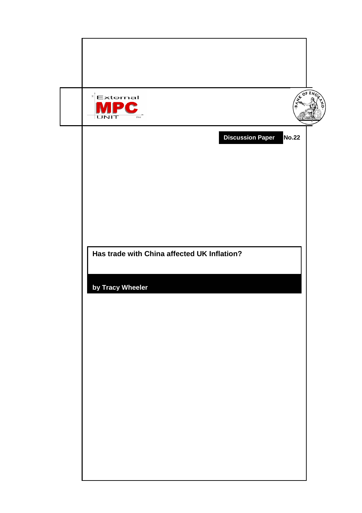| A OF ENC<br>$\mathbb{E}$ External<br>∍<br>Œ<br>UNIT<br>time |  |
|-------------------------------------------------------------|--|
| <b>Discussion Paper</b><br><b>No.22</b>                     |  |
|                                                             |  |
|                                                             |  |
| Has trade with China affected UK Inflation?                 |  |
| by Tracy Wheeler                                            |  |
|                                                             |  |
|                                                             |  |
|                                                             |  |
|                                                             |  |
|                                                             |  |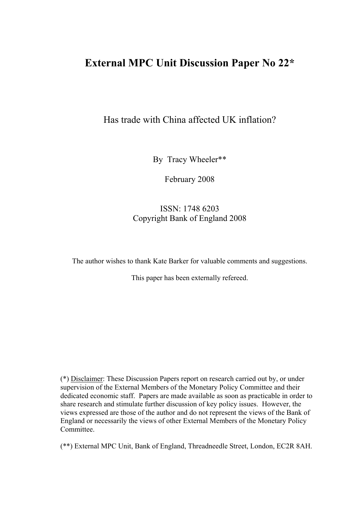# **External MPC Unit Discussion Paper No 22\***

## Has trade with China affected UK inflation?

By Tracy Wheeler\*\*

February 2008

## ISSN: 1748 6203 Copyright Bank of England 2008

The author wishes to thank Kate Barker for valuable comments and suggestions.

This paper has been externally refereed.

(\*) Disclaimer: These Discussion Papers report on research carried out by, or under supervision of the External Members of the Monetary Policy Committee and their dedicated economic staff. Papers are made available as soon as practicable in order to share research and stimulate further discussion of key policy issues. However, the views expressed are those of the author and do not represent the views of the Bank of England or necessarily the views of other External Members of the Monetary Policy Committee.

(\*\*) External MPC Unit, Bank of England, Threadneedle Street, London, EC2R 8AH.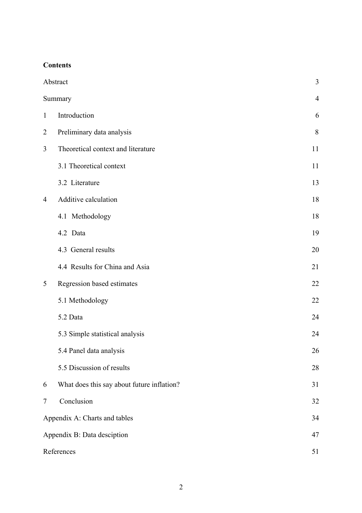## **Contents**

|                | Abstract                                   | 3              |
|----------------|--------------------------------------------|----------------|
|                | Summary                                    | $\overline{4}$ |
| $\mathbf{1}$   | Introduction                               | 6              |
| $\overline{2}$ | Preliminary data analysis                  | 8              |
| 3              | Theoretical context and literature         | 11             |
|                | 3.1 Theoretical context                    | 11             |
|                | 3.2 Literature                             | 13             |
| 4              | Additive calculation                       | 18             |
|                | 4.1 Methodology                            | 18             |
|                | 4.2 Data                                   | 19             |
|                | 4.3 General results                        | 20             |
|                | 4.4 Results for China and Asia             | 21             |
| 5              | Regression based estimates                 | 22             |
|                | 5.1 Methodology                            | 22             |
|                | 5.2 Data                                   | 24             |
|                | 5.3 Simple statistical analysis            | 24             |
|                | 5.4 Panel data analysis                    | 26             |
|                | 5.5 Discussion of results                  | 28             |
| 6              | What does this say about future inflation? | 31             |
| 7              | Conclusion                                 | 32             |
|                | Appendix A: Charts and tables              | 34             |
|                | Appendix B: Data desciption                | 47             |
|                | References                                 | 51             |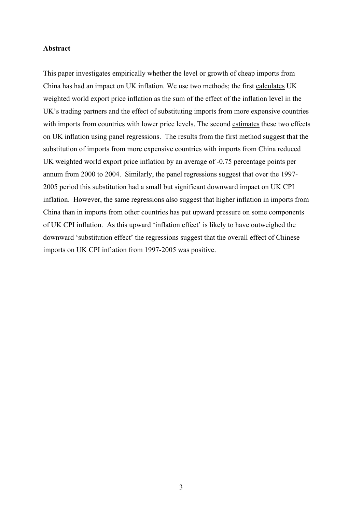#### **Abstract**

This paper investigates empirically whether the level or growth of cheap imports from China has had an impact on UK inflation. We use two methods; the first calculates UK weighted world export price inflation as the sum of the effect of the inflation level in the UK's trading partners and the effect of substituting imports from more expensive countries with imports from countries with lower price levels. The second estimates these two effects on UK inflation using panel regressions. The results from the first method suggest that the substitution of imports from more expensive countries with imports from China reduced UK weighted world export price inflation by an average of -0.75 percentage points per annum from 2000 to 2004. Similarly, the panel regressions suggest that over the 1997- 2005 period this substitution had a small but significant downward impact on UK CPI inflation. However, the same regressions also suggest that higher inflation in imports from China than in imports from other countries has put upward pressure on some components of UK CPI inflation. As this upward 'inflation effect' is likely to have outweighed the downward 'substitution effect' the regressions suggest that the overall effect of Chinese imports on UK CPI inflation from 1997-2005 was positive.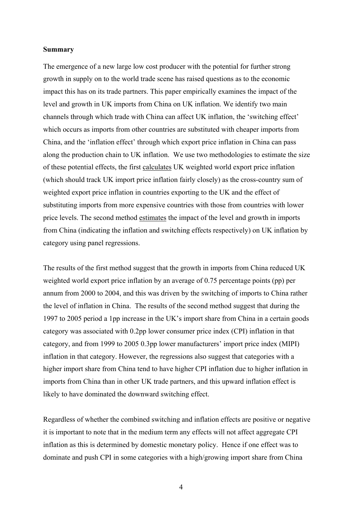#### **Summary**

The emergence of a new large low cost producer with the potential for further strong growth in supply on to the world trade scene has raised questions as to the economic impact this has on its trade partners. This paper empirically examines the impact of the level and growth in UK imports from China on UK inflation. We identify two main channels through which trade with China can affect UK inflation, the 'switching effect' which occurs as imports from other countries are substituted with cheaper imports from China, and the 'inflation effect' through which export price inflation in China can pass along the production chain to UK inflation. We use two methodologies to estimate the size of these potential effects, the first calculates UK weighted world export price inflation (which should track UK import price inflation fairly closely) as the cross-country sum of weighted export price inflation in countries exporting to the UK and the effect of substituting imports from more expensive countries with those from countries with lower price levels. The second method estimates the impact of the level and growth in imports from China (indicating the inflation and switching effects respectively) on UK inflation by category using panel regressions.

The results of the first method suggest that the growth in imports from China reduced UK weighted world export price inflation by an average of 0.75 percentage points (pp) per annum from 2000 to 2004, and this was driven by the switching of imports to China rather the level of inflation in China. The results of the second method suggest that during the 1997 to 2005 period a 1pp increase in the UK's import share from China in a certain goods category was associated with 0.2pp lower consumer price index (CPI) inflation in that category, and from 1999 to 2005 0.3pp lower manufacturers' import price index (MIPI) inflation in that category. However, the regressions also suggest that categories with a higher import share from China tend to have higher CPI inflation due to higher inflation in imports from China than in other UK trade partners, and this upward inflation effect is likely to have dominated the downward switching effect.

Regardless of whether the combined switching and inflation effects are positive or negative it is important to note that in the medium term any effects will not affect aggregate CPI inflation as this is determined by domestic monetary policy. Hence if one effect was to dominate and push CPI in some categories with a high/growing import share from China

4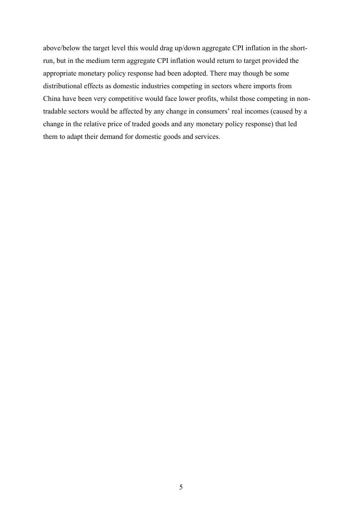above/below the target level this would drag up/down aggregate CPI inflation in the shortrun, but in the medium term aggregate CPI inflation would return to target provided the appropriate monetary policy response had been adopted. There may though be some distributional effects as domestic industries competing in sectors where imports from China have been very competitive would face lower profits, whilst those competing in nontradable sectors would be affected by any change in consumers' real incomes (caused by a change in the relative price of traded goods and any monetary policy response) that led them to adapt their demand for domestic goods and services.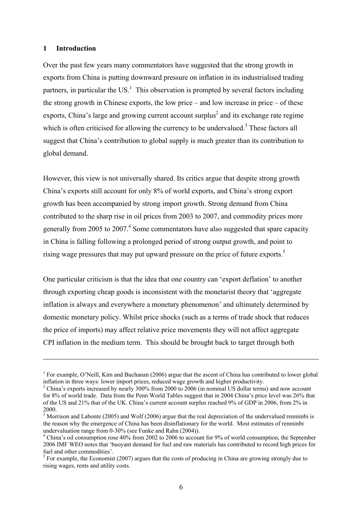#### **1 Introduction**

 $\overline{a}$ 

Over the past few years many commentators have suggested that the strong growth in exports from China is putting downward pressure on inflation in its industrialised trading partners, in particular the US.<sup>1</sup> This observation is prompted by several factors including the strong growth in Chinese exports, the low price – and low increase in price – of these exports, China's large and growing current account surplus<sup>2</sup> and its exchange rate regime which is often criticised for allowing the currency to be undervalued.<sup>3</sup> These factors all suggest that China's contribution to global supply is much greater than its contribution to global demand.

However, this view is not universally shared. Its critics argue that despite strong growth China's exports still account for only 8% of world exports, and China's strong export growth has been accompanied by strong import growth. Strong demand from China contributed to the sharp rise in oil prices from 2003 to 2007, and commodity prices more generally from 2005 to 2007.<sup>4</sup> Some commentators have also suggested that spare capacity in China is falling following a prolonged period of strong output growth, and point to rising wage pressures that may put upward pressure on the price of future exports.<sup>5</sup>

One particular criticism is that the idea that one country can 'export deflation' to another through exporting cheap goods is inconsistent with the monetarist theory that 'aggregate inflation is always and everywhere a monetary phenomenon' and ultimately determined by domestic monetary policy. Whilst price shocks (such as a terms of trade shock that reduces the price of imports) may affect relative price movements they will not affect aggregate CPI inflation in the medium term. This should be brought back to target through both

<sup>&</sup>lt;sup>1</sup> For example, O'Neill, Kim and Buchanan (2006) argue that the ascent of China has contributed to lower global inflation in three ways: lower import prices, reduced wage growth and higher productivity. 2

<sup>&</sup>lt;sup>2</sup> China's exports increased by nearly 300% from 2000 to 2006 (in nominal US dollar terms) and now account for 8% of world trade. Data from the Penn World Tables suggest that in 2004 China's price level was 26% that of the US and 21% that of the UK. China's current account surplus reached 9% of GDP in 2006, from 2% in 2000.

 $3$  Morrison and Labonte (2005) and Wolf (2006) argue that the real depreciation of the undervalued renminbi is the reason why the emergence of China has been disinflationary for the world. Most estimates of renminbi undervaluation range from 0-30% (see Funke and Rahn (2004)).

<sup>&</sup>lt;sup>4</sup> China's oil consumption rose 40% from 2002 to 2006 to account for 9% of world consumption, the September 2006 IMF WEO notes that 'buoyant demand for fuel and raw materials has contributed to record high prices for fuel and other commodities'.

 $<sup>5</sup>$  For example, the Economist (2007) argues that the costs of producing in China are growing strongly due to</sup> rising wages, rents and utility costs.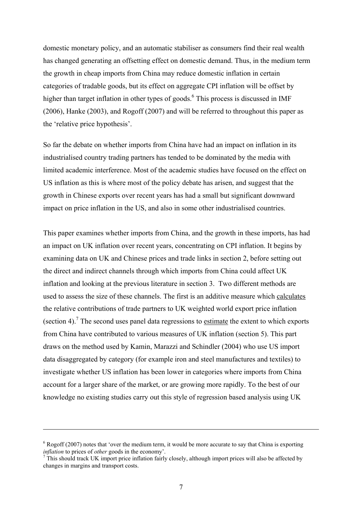domestic monetary policy, and an automatic stabiliser as consumers find their real wealth has changed generating an offsetting effect on domestic demand. Thus, in the medium term the growth in cheap imports from China may reduce domestic inflation in certain categories of tradable goods, but its effect on aggregate CPI inflation will be offset by higher than target inflation in other types of goods.<sup>6</sup> This process is discussed in IMF (2006), Hanke (2003), and Rogoff (2007) and will be referred to throughout this paper as the 'relative price hypothesis'.

So far the debate on whether imports from China have had an impact on inflation in its industrialised country trading partners has tended to be dominated by the media with limited academic interference. Most of the academic studies have focused on the effect on US inflation as this is where most of the policy debate has arisen, and suggest that the growth in Chinese exports over recent years has had a small but significant downward impact on price inflation in the US, and also in some other industrialised countries.

This paper examines whether imports from China, and the growth in these imports, has had an impact on UK inflation over recent years, concentrating on CPI inflation. It begins by examining data on UK and Chinese prices and trade links in section 2, before setting out the direct and indirect channels through which imports from China could affect UK inflation and looking at the previous literature in section 3. Two different methods are used to assess the size of these channels. The first is an additive measure which calculates the relative contributions of trade partners to UK weighted world export price inflation (section 4).<sup>7</sup> The second uses panel data regressions to <u>estimate</u> the extent to which exports from China have contributed to various measures of UK inflation (section 5). This part draws on the method used by Kamin, Marazzi and Schindler (2004) who use US import data disaggregated by category (for example iron and steel manufactures and textiles) to investigate whether US inflation has been lower in categories where imports from China account for a larger share of the market, or are growing more rapidly. To the best of our knowledge no existing studies carry out this style of regression based analysis using UK

 $6 \text{ Rogoff}$  (2007) notes that 'over the medium term, it would be more accurate to say that China is exporting *inflation* to prices of *other* goods in the economy'.<br><sup>7</sup> This should track UK import price inflation fairly closely, although import prices will also be affected by

changes in margins and transport costs.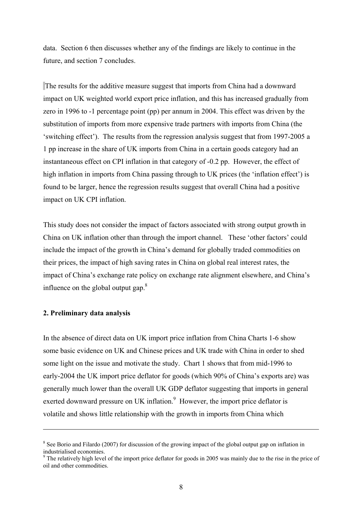data. Section 6 then discusses whether any of the findings are likely to continue in the future, and section 7 concludes.

 The results for the additive measure suggest that imports from China had a downward impact on UK weighted world export price inflation, and this has increased gradually from zero in 1996 to -1 percentage point (pp) per annum in 2004. This effect was driven by the substitution of imports from more expensive trade partners with imports from China (the 'switching effect'). The results from the regression analysis suggest that from 1997-2005 a 1 pp increase in the share of UK imports from China in a certain goods category had an instantaneous effect on CPI inflation in that category of -0.2 pp. However, the effect of high inflation in imports from China passing through to UK prices (the 'inflation effect') is found to be larger, hence the regression results suggest that overall China had a positive impact on UK CPI inflation.

This study does not consider the impact of factors associated with strong output growth in China on UK inflation other than through the import channel. These 'other factors' could include the impact of the growth in China's demand for globally traded commodities on their prices, the impact of high saving rates in China on global real interest rates, the impact of China's exchange rate policy on exchange rate alignment elsewhere, and China's influence on the global output gap. $8$ 

### **2. Preliminary data analysis**

 $\overline{a}$ 

In the absence of direct data on UK import price inflation from China Charts 1-6 show some basic evidence on UK and Chinese prices and UK trade with China in order to shed some light on the issue and motivate the study. Chart 1 shows that from mid-1996 to early-2004 the UK import price deflator for goods (which 90% of China's exports are) was generally much lower than the overall UK GDP deflator suggesting that imports in general exerted downward pressure on UK inflation.<sup>9</sup> However, the import price deflator is volatile and shows little relationship with the growth in imports from China which

<sup>&</sup>lt;sup>8</sup> See Borio and Filardo (2007) for discussion of the growing impact of the global output gap on inflation in industrialised economies.

 $9$  The relatively high level of the import price deflator for goods in 2005 was mainly due to the rise in the price of oil and other commodities.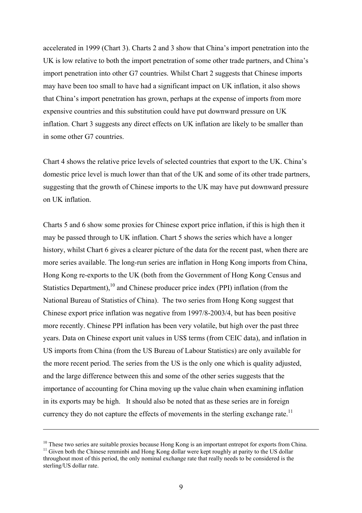accelerated in 1999 (Chart 3). Charts 2 and 3 show that China's import penetration into the UK is low relative to both the import penetration of some other trade partners, and China's import penetration into other G7 countries. Whilst Chart 2 suggests that Chinese imports may have been too small to have had a significant impact on UK inflation, it also shows that China's import penetration has grown, perhaps at the expense of imports from more expensive countries and this substitution could have put downward pressure on UK inflation. Chart 3 suggests any direct effects on UK inflation are likely to be smaller than in some other G7 countries.

Chart 4 shows the relative price levels of selected countries that export to the UK. China's domestic price level is much lower than that of the UK and some of its other trade partners, suggesting that the growth of Chinese imports to the UK may have put downward pressure on UK inflation.

Charts 5 and 6 show some proxies for Chinese export price inflation, if this is high then it may be passed through to UK inflation. Chart 5 shows the series which have a longer history, whilst Chart 6 gives a clearer picture of the data for the recent past, when there are more series available. The long-run series are inflation in Hong Kong imports from China, Hong Kong re-exports to the UK (both from the Government of Hong Kong Census and Statistics Department), $^{10}$  and Chinese producer price index (PPI) inflation (from the National Bureau of Statistics of China). The two series from Hong Kong suggest that Chinese export price inflation was negative from 1997/8-2003/4, but has been positive more recently. Chinese PPI inflation has been very volatile, but high over the past three years. Data on Chinese export unit values in US\$ terms (from CEIC data), and inflation in US imports from China (from the US Bureau of Labour Statistics) are only available for the more recent period. The series from the US is the only one which is quality adjusted, and the large difference between this and some of the other series suggests that the importance of accounting for China moving up the value chain when examining inflation in its exports may be high. It should also be noted that as these series are in foreign currency they do not capture the effects of movements in the sterling exchange rate.<sup>11</sup>

<sup>&</sup>lt;sup>10</sup> These two series are suitable proxies because Hong Kong is an important entrepot for exports from China. <sup>11</sup> Given both the Chinese renminbi and Hong Kong dollar were kept roughly at parity to the US dollar throughout most of this period, the only nominal exchange rate that really needs to be considered is the sterling/US dollar rate.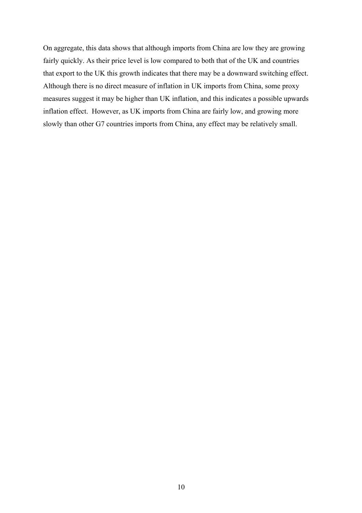On aggregate, this data shows that although imports from China are low they are growing fairly quickly. As their price level is low compared to both that of the UK and countries that export to the UK this growth indicates that there may be a downward switching effect. Although there is no direct measure of inflation in UK imports from China, some proxy measures suggest it may be higher than UK inflation, and this indicates a possible upwards inflation effect. However, as UK imports from China are fairly low, and growing more slowly than other G7 countries imports from China, any effect may be relatively small.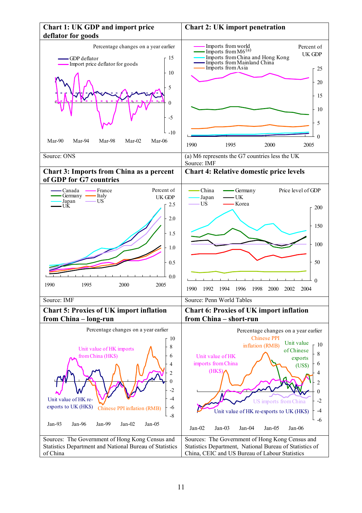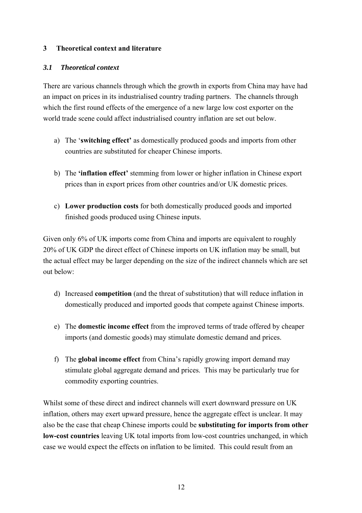## **3 Theoretical context and literature**

## *3.1 Theoretical context*

There are various channels through which the growth in exports from China may have had an impact on prices in its industrialised country trading partners. The channels through which the first round effects of the emergence of a new large low cost exporter on the world trade scene could affect industrialised country inflation are set out below.

- a) The '**switching effect'** as domestically produced goods and imports from other countries are substituted for cheaper Chinese imports.
- b) The **'inflation effect'** stemming from lower or higher inflation in Chinese export prices than in export prices from other countries and/or UK domestic prices.
- c) **Lower production costs** for both domestically produced goods and imported finished goods produced using Chinese inputs.

Given only 6% of UK imports come from China and imports are equivalent to roughly 20% of UK GDP the direct effect of Chinese imports on UK inflation may be small, but the actual effect may be larger depending on the size of the indirect channels which are set out below:

- d) Increased **competition** (and the threat of substitution) that will reduce inflation in domestically produced and imported goods that compete against Chinese imports.
- e) The **domestic income effect** from the improved terms of trade offered by cheaper imports (and domestic goods) may stimulate domestic demand and prices.
- f) The **global income effect** from China's rapidly growing import demand may stimulate global aggregate demand and prices. This may be particularly true for commodity exporting countries.

Whilst some of these direct and indirect channels will exert downward pressure on UK inflation, others may exert upward pressure, hence the aggregate effect is unclear. It may also be the case that cheap Chinese imports could be **substituting for imports from other low-cost countries** leaving UK total imports from low-cost countries unchanged, in which case we would expect the effects on inflation to be limited. This could result from an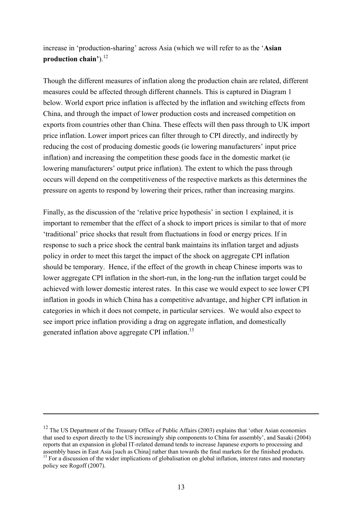increase in 'production-sharing' across Asia (which we will refer to as the '**Asian**  production chain').<sup>12</sup>

Though the different measures of inflation along the production chain are related, different measures could be affected through different channels. This is captured in Diagram 1 below. World export price inflation is affected by the inflation and switching effects from China, and through the impact of lower production costs and increased competition on exports from countries other than China. These effects will then pass through to UK import price inflation. Lower import prices can filter through to CPI directly, and indirectly by reducing the cost of producing domestic goods (ie lowering manufacturers' input price inflation) and increasing the competition these goods face in the domestic market (ie lowering manufacturers' output price inflation). The extent to which the pass through occurs will depend on the competitiveness of the respective markets as this determines the pressure on agents to respond by lowering their prices, rather than increasing margins.

Finally, as the discussion of the 'relative price hypothesis' in section 1 explained, it is important to remember that the effect of a shock to import prices is similar to that of more 'traditional' price shocks that result from fluctuations in food or energy prices. If in response to such a price shock the central bank maintains its inflation target and adjusts policy in order to meet this target the impact of the shock on aggregate CPI inflation should be temporary. Hence, if the effect of the growth in cheap Chinese imports was to lower aggregate CPI inflation in the short-run, in the long-run the inflation target could be achieved with lower domestic interest rates. In this case we would expect to see lower CPI inflation in goods in which China has a competitive advantage, and higher CPI inflation in categories in which it does not compete, in particular services. We would also expect to see import price inflation providing a drag on aggregate inflation, and domestically generated inflation above aggregate CPI inflation.<sup>13</sup>

 $12$  The US Department of the Treasury Office of Public Affairs (2003) explains that 'other Asian economies that used to export directly to the US increasingly ship components to China for assembly', and Sasaki (2004) reports that an expansion in global IT-related demand tends to increase Japanese exports to processing and assembly bases in East Asia [such as China] rather than towards the final markets for the finished products. <sup>13</sup> For a discussion of the wider implications of globalisation on global inflation, interest rates and monetary

policy see Rogoff (2007).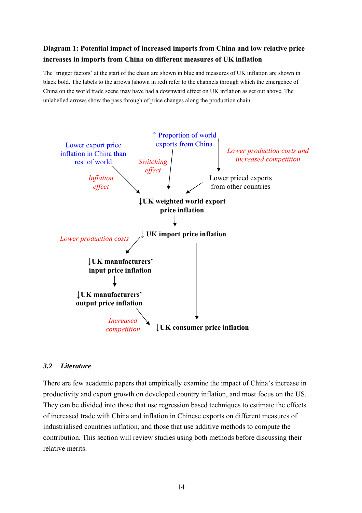## **Diagram 1: Potential impact of increased imports from China and low relative price increases in imports from China on different measures of UK inflation**

The 'trigger factors' at the start of the chain are shown in blue and measures of UK inflation are shown in black bold. The labels to the arrows (shown in red) refer to the channels through which the emergence of China on the world trade scene may have had a downward effect on UK inflation as set out above. The unlabelled arrows show the pass through of price changes along the production chain.



## *3.2 Literature*

There are few academic papers that empirically examine the impact of China's increase in productivity and export growth on developed country inflation, and most focus on the US. They can be divided into those that use regression based techniques to estimate the effects of increased trade with China and inflation in Chinese exports on different measures of industrialised countries inflation, and those that use additive methods to compute the contribution. This section will review studies using both methods before discussing their relative merits.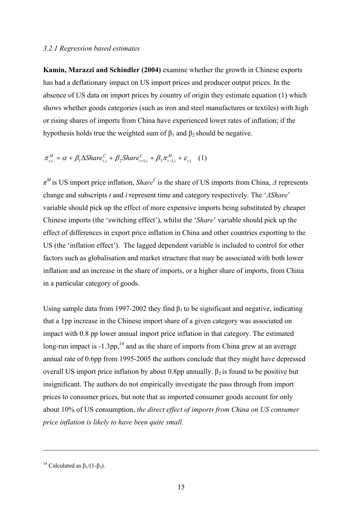#### *3.2.1 Regression based estimates*

**Kamin, Marazzi and Schindler (2004)** examine whether the growth in Chinese exports has had a deflationary impact on US import prices and producer output prices. In the absence of US data on import prices by country of origin they estimate equation (1) which shows whether goods categories (such as iron and steel manufactures or textiles) with high or rising shares of imports from China have experienced lower rates of inflation; if the hypothesis holds true the weighted sum of  $β_1$  and  $β_2$  should be negative.

$$
\pi_{t,i}^M = \alpha + \beta_1 \Delta \mathcal{S} have_{t,i}^C + \beta_2 \mathcal{S} have_{t=1,i}^C + \beta_3 \pi_{t=1,i}^M + \varepsilon_{t,i} \quad (1)
$$

*π <sup>M</sup>* is US import price inflation, *Share<sup>C</sup>* is the share of US imports from China, *Δ* represents change and subscripts *t* and *i* represent time and category respectively. The '*ΔShare*' variable should pick up the effect of more expensive imports being substituted by cheaper Chinese imports (the 'switching effect'), whilst the '*Share*' variable should pick up the effect of differences in export price inflation in China and other countries exporting to the US (the 'inflation effect'). The lagged dependent variable is included to control for other factors such as globalisation and market structure that may be associated with both lower inflation and an increase in the share of imports, or a higher share of imports, from China in a particular category of goods.

Using sample data from 1997-2002 they find  $\beta_1$  to be significant and negative, indicating that a 1pp increase in the Chinese import share of a given category was associated on impact with 0.8 pp lower annual import price inflation in that category. The estimated long-run impact is  $-1.3$ pp,  $14$  and as the share of imports from China grew at an average annual rate of 0.6pp from 1995-2005 the authors conclude that they might have depressed overall US import price inflation by about 0.8pp annually.  $β_2$  is found to be positive but insignificant. The authors do not empirically investigate the pass through from import prices to consumer prices, but note that as imported consumer goods account for only about 10% of US consumption, *the direct effect of imports from China on US consumer price inflation is likely to have been quite small.*

<sup>&</sup>lt;sup>14</sup> Calculated as  $\beta_1/(1-\beta_3)$ .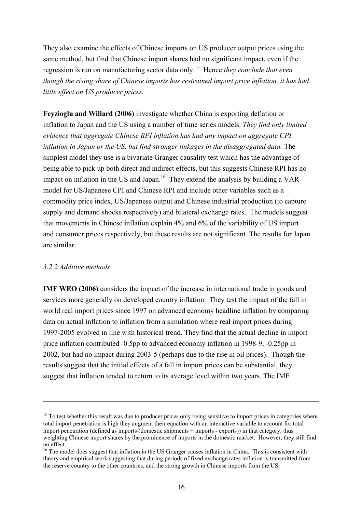They also examine the effects of Chinese imports on US producer output prices using the same method, but find that Chinese import shares had no significant impact, even if the regression is run on manufacturing sector data only.15 Hence *they conclude that even though the rising share of Chinese imports has restrained import price inflation, it has had little effect on US producer prices.*

**Feyzioglu and Willard (2006)** investigate whether China is exporting deflation or inflation to Japan and the US using a number of time series models. *They find only limited evidence that aggregate Chinese RPI inflation has had any impact on aggregate CPI inflation in Japan or the US, but find stronger linkages in the disaggregated data.* The simplest model they use is a bivariate Granger causality test which has the advantage of being able to pick up both direct and indirect effects, but this suggests Chinese RPI has no impact on inflation in the US and Japan.<sup>16</sup> They extend the analysis by building a VAR model for US/Japanese CPI and Chinese RPI and include other variables such as a commodity price index, US/Japanese output and Chinese industrial production (to capture supply and demand shocks respectively) and bilateral exchange rates. The models suggest that movements in Chinese inflation explain 4% and 6% of the variability of US import and consumer prices respectively, but these results are not significant. The results for Japan are similar.

## *3.2.2 Additive methods*

 $\overline{a}$ 

**IMF WEO (2006)** considers the impact of the increase in international trade in goods and services more generally on developed country inflation. They test the impact of the fall in world real import prices since 1997 on advanced economy headline inflation by comparing data on actual inflation to inflation from a simulation where real import prices during 1997-2005 evolved in line with historical trend. They find that the actual decline in import price inflation contributed -0.5pp to advanced economy inflation in 1998-9, -0.25pp in 2002, but had no impact during 2003-5 (perhaps due to the rise in oil prices). Though the results suggest that the initial effects of a fall in import prices can be substantial, they suggest that inflation tended to return to its average level within two years. The IMF

 $15$  To test whether this result was due to producer prices only being sensitive to import prices in categories where total import penetration is high they augment their equation with an interactive variable to account for total import penetration (defined as imports/(domestic shipments + imports - exports)) in that category, thus weighting Chinese import shares by the prominence of imports in the domestic market. However, they still find no effect.

<sup>&</sup>lt;sup>16</sup> The model does suggest that inflation in the US Granger causes inflation in China. This is consistent with theory and empirical work suggesting that during periods of fixed exchange rates inflation is transmitted from the reserve country to the other countries, and the strong growth in Chinese imports from the US.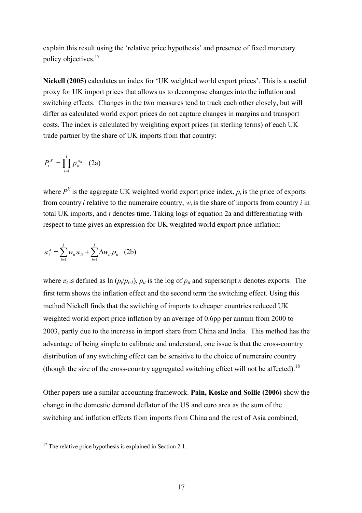explain this result using the 'relative price hypothesis' and presence of fixed monetary policy objectives.<sup>17</sup>

**Nickell (2005)** calculates an index for 'UK weighted world export prices'. This is a useful proxy for UK import prices that allows us to decompose changes into the inflation and switching effects. Changes in the two measures tend to track each other closely, but will differ as calculated world export prices do not capture changes in margins and transport costs. The index is calculated by weighting export prices (in sterling terms) of each UK trade partner by the share of UK imports from that country:

$$
P_t^X = \prod_{i=1}^I p_{it}^{w_{it}} \quad (2a)
$$

where  $P<sup>X</sup>$  is the aggregate UK weighted world export price index,  $p<sub>i</sub>$  is the price of exports from country *i* relative to the numeraire country,  $w_i$  is the share of imports from country *i* in total UK imports, and *t* denotes time. Taking logs of equation 2a and differentiating with respect to time gives an expression for UK weighted world export price inflation:

$$
\pi_i^x = \sum_{i=1}^I w_{ii} \pi_{ii} + \sum_{i=1}^I \Delta w_{ii} \rho_{ii} \quad (2b)
$$

where  $\pi$ <sup>*t*</sup> is defined as ln ( $p_t/p_{t-1}$ ),  $\rho$ <sup>*it*</sup> is the log of  $p_{it}$  and superscript *x* denotes exports. The first term shows the inflation effect and the second term the switching effect. Using this method Nickell finds that the switching of imports to cheaper countries reduced UK weighted world export price inflation by an average of 0.6pp per annum from 2000 to 2003, partly due to the increase in import share from China and India. This method has the advantage of being simple to calibrate and understand, one issue is that the cross-country distribution of any switching effect can be sensitive to the choice of numeraire country (though the size of the cross-country aggregated switching effect will not be affected).18

Other papers use a similar accounting framework. **Pain, Koske and Sollie (2006)** show the change in the domestic demand deflator of the US and euro area as the sum of the switching and inflation effects from imports from China and the rest of Asia combined,

 $17$  The relative price hypothesis is explained in Section 2.1.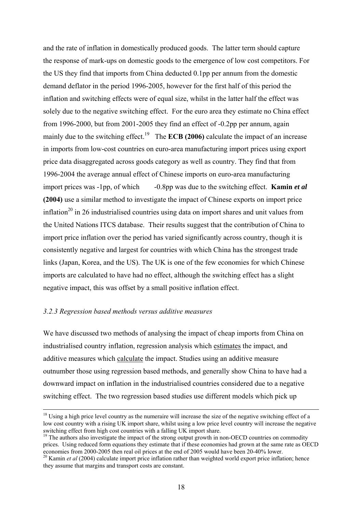and the rate of inflation in domestically produced goods. The latter term should capture the response of mark-ups on domestic goods to the emergence of low cost competitors. For the US they find that imports from China deducted 0.1pp per annum from the domestic demand deflator in the period 1996-2005, however for the first half of this period the inflation and switching effects were of equal size, whilst in the latter half the effect was solely due to the negative switching effect. For the euro area they estimate no China effect from 1996-2000, but from 2001-2005 they find an effect of -0.2pp per annum, again mainly due to the switching effect.<sup>19</sup> The **ECB (2006)** calculate the impact of an increase in imports from low-cost countries on euro-area manufacturing import prices using export price data disaggregated across goods category as well as country. They find that from 1996-2004 the average annual effect of Chinese imports on euro-area manufacturing import prices was -1pp, of which -0.8pp was due to the switching effect. **Kamin** *et al*  **(2004)** use a similar method to investigate the impact of Chinese exports on import price inflation<sup>20</sup> in 26 industrialised countries using data on import shares and unit values from the United Nations ITCS database. Their results suggest that the contribution of China to import price inflation over the period has varied significantly across country, though it is consistently negative and largest for countries with which China has the strongest trade links (Japan, Korea, and the US). The UK is one of the few economies for which Chinese imports are calculated to have had no effect, although the switching effect has a slight negative impact, this was offset by a small positive inflation effect.

#### *3.2.3 Regression based methods versus additive measures*

We have discussed two methods of analysing the impact of cheap imports from China on industrialised country inflation, regression analysis which estimates the impact, and additive measures which calculate the impact. Studies using an additive measure outnumber those using regression based methods, and generally show China to have had a downward impact on inflation in the industrialised countries considered due to a negative switching effect. The two regression based studies use different models which pick up

 $18$  Using a high price level country as the numeraire will increase the size of the negative switching effect of a low cost country with a rising UK import share, whilst using a low price level country will increase the negative switching effect from high cost countries with a falling UK import share.

 $\frac{19}{19}$  The authors also investigate the impact of the strong output growth in non-OECD countries on commodity prices. Using reduced form equations they estimate that if these economies had grown at the same rate as OECD economies from 2000-2005 then real oil prices at the end of 2005 would have been 20-40% lower.

<sup>&</sup>lt;sup>20</sup> Kamin *et al* (2004) calculate import price inflation rather than weighted world export price inflation; hence they assume that margins and transport costs are constant.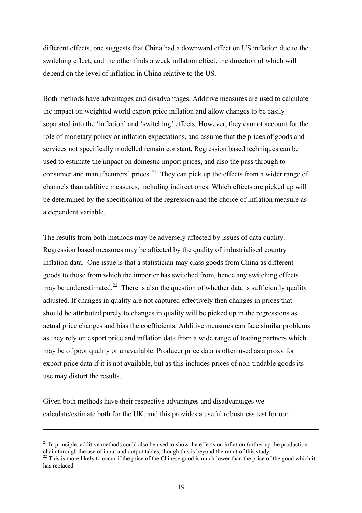different effects, one suggests that China had a downward effect on US inflation due to the switching effect, and the other finds a weak inflation effect, the direction of which will depend on the level of inflation in China relative to the US.

Both methods have advantages and disadvantages. Additive measures are used to calculate the impact on weighted world export price inflation and allow changes to be easily separated into the 'inflation' and 'switching' effects. However, they cannot account for the role of monetary policy or inflation expectations, and assume that the prices of goods and services not specifically modelled remain constant. Regression based techniques can be used to estimate the impact on domestic import prices, and also the pass through to consumer and manufacturers' prices. <sup>21</sup> They can pick up the effects from a wider range of channels than additive measures, including indirect ones. Which effects are picked up will be determined by the specification of the regression and the choice of inflation measure as a dependent variable.

The results from both methods may be adversely affected by issues of data quality. Regression based measures may be affected by the quality of industrialised country inflation data. One issue is that a statistician may class goods from China as different goods to those from which the importer has switched from, hence any switching effects may be underestimated.<sup>22</sup> There is also the question of whether data is sufficiently quality adjusted. If changes in quality are not captured effectively then changes in prices that should be attributed purely to changes in quality will be picked up in the regressions as actual price changes and bias the coefficients. Additive measures can face similar problems as they rely on export price and inflation data from a wide range of trading partners which may be of poor quality or unavailable. Producer price data is often used as a proxy for export price data if it is not available, but as this includes prices of non-tradable goods its use may distort the results.

Given both methods have their respective advantages and disadvantages we calculate/estimate both for the UK, and this provides a useful robustness test for our

 $^{21}$  In principle, additive methods could also be used to show the effects on inflation further up the production chain through the use of input and output tables, though this is beyond the remit of this study.

 $^{22}$  This is more likely to occur if the price of the Chinese good is much lower than the price of the good which it has replaced.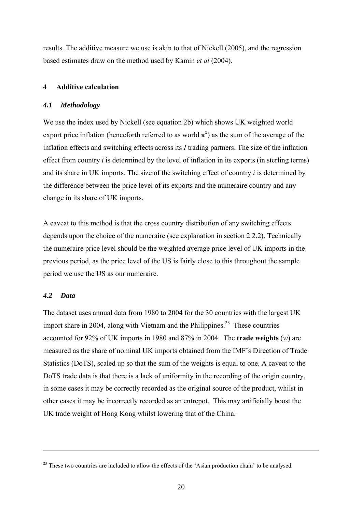results. The additive measure we use is akin to that of Nickell (2005), and the regression based estimates draw on the method used by Kamin *et al* (2004).

## **4 Additive calculation**

## *4.1 Methodology*

We use the index used by Nickell (see equation 2b) which shows UK weighted world export price inflation (henceforth referred to as world  $\pi^x$ ) as the sum of the average of the inflation effects and switching effects across its *I* trading partners. The size of the inflation effect from country *i* is determined by the level of inflation in its exports (in sterling terms) and its share in UK imports. The size of the switching effect of country *i* is determined by the difference between the price level of its exports and the numeraire country and any change in its share of UK imports.

A caveat to this method is that the cross country distribution of any switching effects depends upon the choice of the numeraire (see explanation in section 2.2.2). Technically the numeraire price level should be the weighted average price level of UK imports in the previous period, as the price level of the US is fairly close to this throughout the sample period we use the US as our numeraire.

## *4.2 Data*

 $\overline{a}$ 

The dataset uses annual data from 1980 to 2004 for the 30 countries with the largest UK import share in 2004, along with Vietnam and the Philippines.<sup>23</sup> These countries accounted for 92% of UK imports in 1980 and 87% in 2004. The **trade weights** (*w*) are measured as the share of nominal UK imports obtained from the IMF's Direction of Trade Statistics (DoTS), scaled up so that the sum of the weights is equal to one. A caveat to the DoTS trade data is that there is a lack of uniformity in the recording of the origin country, in some cases it may be correctly recorded as the original source of the product, whilst in other cases it may be incorrectly recorded as an entrepot. This may artificially boost the UK trade weight of Hong Kong whilst lowering that of the China.

<sup>&</sup>lt;sup>23</sup> These two countries are included to allow the effects of the 'Asian production chain' to be analysed.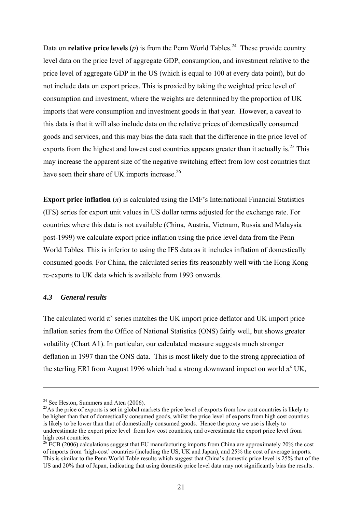Data on **relative price levels** (*p*) is from the Penn World Tables.<sup>24</sup> These provide country level data on the price level of aggregate GDP, consumption, and investment relative to the price level of aggregate GDP in the US (which is equal to 100 at every data point), but do not include data on export prices. This is proxied by taking the weighted price level of consumption and investment, where the weights are determined by the proportion of UK imports that were consumption and investment goods in that year. However, a caveat to this data is that it will also include data on the relative prices of domestically consumed goods and services, and this may bias the data such that the difference in the price level of exports from the highest and lowest cost countries appears greater than it actually is.<sup>25</sup> This may increase the apparent size of the negative switching effect from low cost countries that have seen their share of UK imports increase.<sup>26</sup>

**Export price inflation**  $(\pi)$  is calculated using the IMF's International Financial Statistics (IFS) series for export unit values in US dollar terms adjusted for the exchange rate. For countries where this data is not available (China, Austria, Vietnam, Russia and Malaysia post-1999) we calculate export price inflation using the price level data from the Penn World Tables. This is inferior to using the IFS data as it includes inflation of domestically consumed goods. For China, the calculated series fits reasonably well with the Hong Kong re-exports to UK data which is available from 1993 onwards.

## *4.3 General results*

 $\overline{a}$ 

The calculated world  $\pi^x$  series matches the UK import price deflator and UK import price inflation series from the Office of National Statistics (ONS) fairly well, but shows greater volatility (Chart A1). In particular, our calculated measure suggests much stronger deflation in 1997 than the ONS data. This is most likely due to the strong appreciation of the sterling ERI from August 1996 which had a strong downward impact on world  $\pi^x$  UK,

 $24$  See Heston, Summers and Aten (2006).

 $^{25}$ As the price of exports is set in global markets the price level of exports from low cost countries is likely to be higher than that of domestically consumed goods, whilst the price level of exports from high cost counties is likely to be lower than that of domestically consumed goods. Hence the proxy we use is likely to underestimate the export price level from low cost countries, and overestimate the export price level from high cost countries.

 $26$  ECB (2006) calculations suggest that EU manufacturing imports from China are approximately 20% the cost of imports from 'high-cost' countries (including the US, UK and Japan), and 25% the cost of average imports. This is similar to the Penn World Table results which suggest that China's domestic price level is 25% that of the US and 20% that of Japan, indicating that using domestic price level data may not significantly bias the results.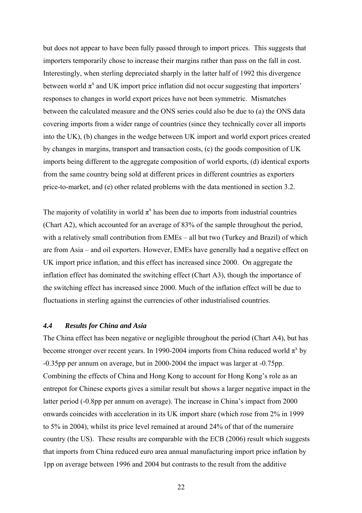but does not appear to have been fully passed through to import prices. This suggests that importers temporarily chose to increase their margins rather than pass on the fall in cost. Interestingly, when sterling depreciated sharply in the latter half of 1992 this divergence between world  $\pi^x$  and UK import price inflation did not occur suggesting that importers' responses to changes in world export prices have not been symmetric. Mismatches between the calculated measure and the ONS series could also be due to (a) the ONS data covering imports from a wider range of countries (since they technically cover all imports into the UK), (b) changes in the wedge between UK import and world export prices created by changes in margins, transport and transaction costs, (c) the goods composition of UK imports being different to the aggregate composition of world exports, (d) identical exports from the same country being sold at different prices in different countries as exporters price-to-market, and (e) other related problems with the data mentioned in section 3.2.

The majority of volatility in world  $\pi^x$  has been due to imports from industrial countries (Chart A2), which accounted for an average of 83% of the sample throughout the period, with a relatively small contribution from EMEs – all but two (Turkey and Brazil) of which are from Asia – and oil exporters. However, EMEs have generally had a negative effect on UK import price inflation, and this effect has increased since 2000. On aggregate the inflation effect has dominated the switching effect (Chart A3), though the importance of the switching effect has increased since 2000. Much of the inflation effect will be due to fluctuations in sterling against the currencies of other industrialised countries.

## *4.4 Results for China and Asia*

The China effect has been negative or negligible throughout the period (Chart A4), but has become stronger over recent years. In 1990-2004 imports from China reduced world  $\pi^x$  by -0.35pp per annum on average, but in 2000-2004 the impact was larger at -0.75pp. Combining the effects of China and Hong Kong to account for Hong Kong's role as an entrepot for Chinese exports gives a similar result but shows a larger negative impact in the latter period (-0.8pp per annum on average). The increase in China's impact from 2000 onwards coincides with acceleration in its UK import share (which rose from 2% in 1999 to 5% in 2004), whilst its price level remained at around 24% of that of the numeraire country (the US). These results are comparable with the ECB (2006) result which suggests that imports from China reduced euro area annual manufacturing import price inflation by 1pp on average between 1996 and 2004 but contrasts to the result from the additive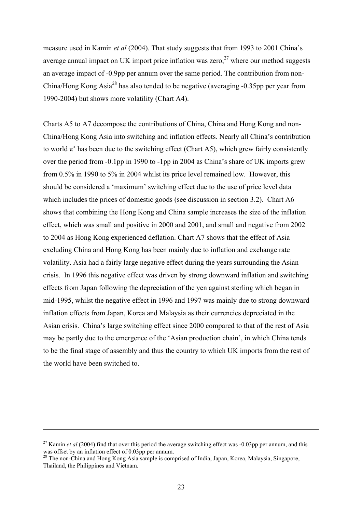measure used in Kamin *et al* (2004). That study suggests that from 1993 to 2001 China's average annual impact on UK import price inflation was zero,  $27$  where our method suggests an average impact of -0.9pp per annum over the same period. The contribution from non-China/Hong Kong Asia28 has also tended to be negative (averaging -0.35pp per year from 1990-2004) but shows more volatility (Chart A4).

Charts A5 to A7 decompose the contributions of China, China and Hong Kong and non-China/Hong Kong Asia into switching and inflation effects. Nearly all China's contribution to world  $\pi^x$  has been due to the switching effect (Chart A5), which grew fairly consistently over the period from -0.1pp in 1990 to -1pp in 2004 as China's share of UK imports grew from 0.5% in 1990 to 5% in 2004 whilst its price level remained low. However, this should be considered a 'maximum' switching effect due to the use of price level data which includes the prices of domestic goods (see discussion in section 3.2). Chart A6 shows that combining the Hong Kong and China sample increases the size of the inflation effect, which was small and positive in 2000 and 2001, and small and negative from 2002 to 2004 as Hong Kong experienced deflation. Chart A7 shows that the effect of Asia excluding China and Hong Kong has been mainly due to inflation and exchange rate volatility. Asia had a fairly large negative effect during the years surrounding the Asian crisis. In 1996 this negative effect was driven by strong downward inflation and switching effects from Japan following the depreciation of the yen against sterling which began in mid-1995, whilst the negative effect in 1996 and 1997 was mainly due to strong downward inflation effects from Japan, Korea and Malaysia as their currencies depreciated in the Asian crisis. China's large switching effect since 2000 compared to that of the rest of Asia may be partly due to the emergence of the 'Asian production chain', in which China tends to be the final stage of assembly and thus the country to which UK imports from the rest of the world have been switched to.

<sup>&</sup>lt;sup>27</sup> Kamin *et al* (2004) find that over this period the average switching effect was -0.03pp per annum, and this was offset by an inflation effect of 0.03pp per annum.

<sup>&</sup>lt;sup>28</sup> The non-China and Hong Kong Asia sample is comprised of India, Japan, Korea, Malaysia, Singapore, Thailand, the Philippines and Vietnam.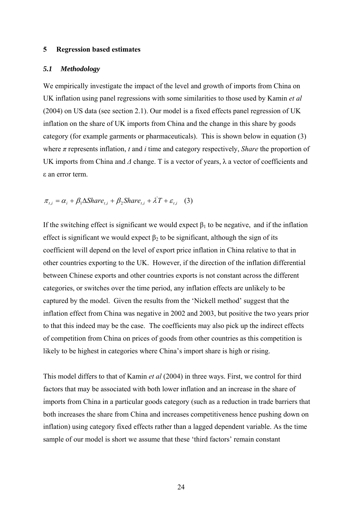#### **5 Regression based estimates**

#### *5.1 Methodology*

We empirically investigate the impact of the level and growth of imports from China on UK inflation using panel regressions with some similarities to those used by Kamin *et al* (2004) on US data (see section 2.1). Our model is a fixed effects panel regression of UK inflation on the share of UK imports from China and the change in this share by goods category (for example garments or pharmaceuticals). This is shown below in equation (3) where *π* represents inflation, *t* and *i* time and category respectively, *Share* the proportion of UK imports from China and *Δ* change. T is a vector of years, λ a vector of coefficients and ε an error term.

$$
\pi_{t,i} = \alpha_i + \beta_1 \Delta \text{Share}_{t,i} + \beta_2 \text{Share}_{t,i} + \lambda T + \varepsilon_{t,i} \quad (3)
$$

If the switching effect is significant we would expect  $\beta_1$  to be negative, and if the inflation effect is significant we would expect  $\beta_2$  to be significant, although the sign of its coefficient will depend on the level of export price inflation in China relative to that in other countries exporting to the UK. However, if the direction of the inflation differential between Chinese exports and other countries exports is not constant across the different categories, or switches over the time period, any inflation effects are unlikely to be captured by the model. Given the results from the 'Nickell method' suggest that the inflation effect from China was negative in 2002 and 2003, but positive the two years prior to that this indeed may be the case. The coefficients may also pick up the indirect effects of competition from China on prices of goods from other countries as this competition is likely to be highest in categories where China's import share is high or rising.

This model differs to that of Kamin *et al* (2004) in three ways. First, we control for third factors that may be associated with both lower inflation and an increase in the share of imports from China in a particular goods category (such as a reduction in trade barriers that both increases the share from China and increases competitiveness hence pushing down on inflation) using category fixed effects rather than a lagged dependent variable. As the time sample of our model is short we assume that these 'third factors' remain constant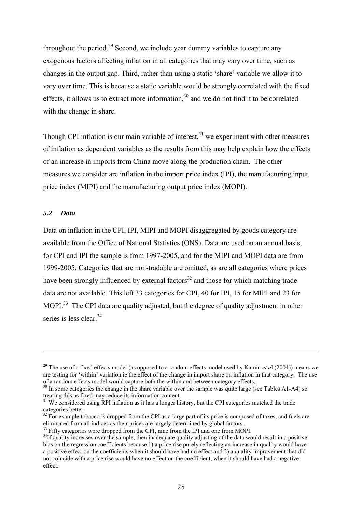throughout the period.<sup>29</sup> Second, we include year dummy variables to capture any exogenous factors affecting inflation in all categories that may vary over time, such as changes in the output gap. Third, rather than using a static 'share' variable we allow it to vary over time. This is because a static variable would be strongly correlated with the fixed effects, it allows us to extract more information,  $30$  and we do not find it to be correlated with the change in share.

Though CPI inflation is our main variable of interest,  $31$  we experiment with other measures of inflation as dependent variables as the results from this may help explain how the effects of an increase in imports from China move along the production chain. The other measures we consider are inflation in the import price index (IPI), the manufacturing input price index (MIPI) and the manufacturing output price index (MOPI).

## *5.2 Data*

 $\overline{a}$ 

Data on inflation in the CPI, IPI, MIPI and MOPI disaggregated by goods category are available from the Office of National Statistics (ONS). Data are used on an annual basis, for CPI and IPI the sample is from 1997-2005, and for the MIPI and MOPI data are from 1999-2005. Categories that are non-tradable are omitted, as are all categories where prices have been strongly influenced by external factors<sup>32</sup> and those for which matching trade data are not available. This left 33 categories for CPI, 40 for IPI, 15 for MIPI and 23 for MOPI<sup>33</sup> The CPI data are quality adjusted, but the degree of quality adjustment in other series is less clear <sup>34</sup>

 $^{33}$  Fifty categories were dropped from the CPI, nine from the IPI and one from MOPI.

<sup>&</sup>lt;sup>29</sup> The use of a fixed effects model (as opposed to a random effects model used by Kamin *et al* (2004)) means we are testing for 'within' variation ie the effect of the change in import share on inflation in that category. The use of a random effects model would capture both the within and between category effects.

 $\frac{30}{30}$  In some categories the change in the share variable over the sample was quite large (see Tables A1-A4) so treating this as fixed may reduce its information content.

 $131$  We considered using RPI inflation as it has a longer history, but the CPI categories matched the trade categories better.

 $32$  For example tobacco is dropped from the CPI as a large part of its price is composed of taxes, and fuels are eliminated from all indices as their prices are largely determined by global factors.

 $34$ If quality increases over the sample, then inadequate quality adjusting of the data would result in a positive bias on the regression coefficients because 1) a price rise purely reflecting an increase in quality would have a positive effect on the coefficients when it should have had no effect and 2) a quality improvement that did not coincide with a price rise would have no effect on the coefficient, when it should have had a negative effect.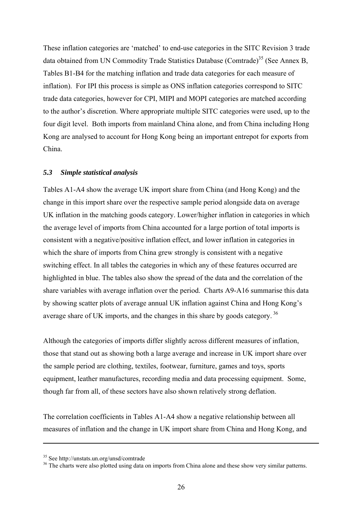These inflation categories are 'matched' to end-use categories in the SITC Revision 3 trade data obtained from UN Commodity Trade Statistics Database (Comtrade)<sup>35</sup> (See Annex B, Tables B1-B4 for the matching inflation and trade data categories for each measure of inflation). For IPI this process is simple as ONS inflation categories correspond to SITC trade data categories, however for CPI, MIPI and MOPI categories are matched according to the author's discretion. Where appropriate multiple SITC categories were used, up to the four digit level. Both imports from mainland China alone, and from China including Hong Kong are analysed to account for Hong Kong being an important entrepot for exports from China.

#### *5.3 Simple statistical analysis*

Tables A1-A4 show the average UK import share from China (and Hong Kong) and the change in this import share over the respective sample period alongside data on average UK inflation in the matching goods category. Lower/higher inflation in categories in which the average level of imports from China accounted for a large portion of total imports is consistent with a negative/positive inflation effect, and lower inflation in categories in which the share of imports from China grew strongly is consistent with a negative switching effect. In all tables the categories in which any of these features occurred are highlighted in blue. The tables also show the spread of the data and the correlation of the share variables with average inflation over the period. Charts A9-A16 summarise this data by showing scatter plots of average annual UK inflation against China and Hong Kong's average share of UK imports, and the changes in this share by goods category.<sup>36</sup>

Although the categories of imports differ slightly across different measures of inflation, those that stand out as showing both a large average and increase in UK import share over the sample period are clothing, textiles, footwear, furniture, games and toys, sports equipment, leather manufactures, recording media and data processing equipment. Some, though far from all, of these sectors have also shown relatively strong deflation.

The correlation coefficients in Tables A1-A4 show a negative relationship between all measures of inflation and the change in UK import share from China and Hong Kong, and

<sup>35</sup> See http://unstats.un.org/unsd/comtrade

<sup>&</sup>lt;sup>36</sup> The charts were also plotted using data on imports from China alone and these show very similar patterns.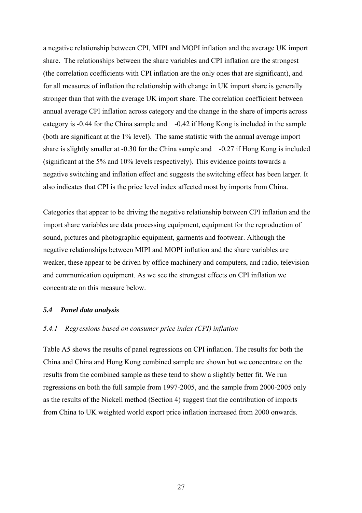a negative relationship between CPI, MIPI and MOPI inflation and the average UK import share. The relationships between the share variables and CPI inflation are the strongest (the correlation coefficients with CPI inflation are the only ones that are significant), and for all measures of inflation the relationship with change in UK import share is generally stronger than that with the average UK import share. The correlation coefficient between annual average CPI inflation across category and the change in the share of imports across category is -0.44 for the China sample and -0.42 if Hong Kong is included in the sample (both are significant at the 1% level). The same statistic with the annual average import share is slightly smaller at -0.30 for the China sample and -0.27 if Hong Kong is included (significant at the 5% and 10% levels respectively). This evidence points towards a negative switching and inflation effect and suggests the switching effect has been larger. It also indicates that CPI is the price level index affected most by imports from China.

Categories that appear to be driving the negative relationship between CPI inflation and the import share variables are data processing equipment, equipment for the reproduction of sound, pictures and photographic equipment, garments and footwear. Although the negative relationships between MIPI and MOPI inflation and the share variables are weaker, these appear to be driven by office machinery and computers, and radio, television and communication equipment. As we see the strongest effects on CPI inflation we concentrate on this measure below.

## *5.4 Panel data analysis*

#### *5.4.1 Regressions based on consumer price index (CPI) inflation*

Table A5 shows the results of panel regressions on CPI inflation. The results for both the China and China and Hong Kong combined sample are shown but we concentrate on the results from the combined sample as these tend to show a slightly better fit. We run regressions on both the full sample from 1997-2005, and the sample from 2000-2005 only as the results of the Nickell method (Section 4) suggest that the contribution of imports from China to UK weighted world export price inflation increased from 2000 onwards.

27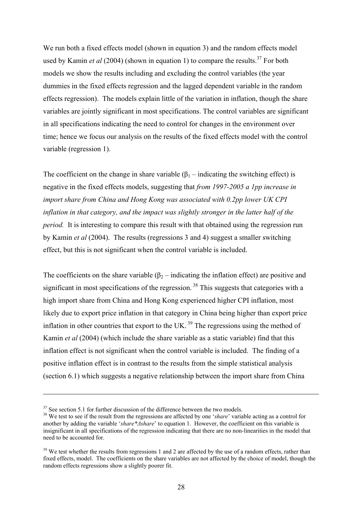We run both a fixed effects model (shown in equation 3) and the random effects model used by Kamin *et al* (2004) (shown in equation 1) to compare the results.<sup>37</sup> For both models we show the results including and excluding the control variables (the year dummies in the fixed effects regression and the lagged dependent variable in the random effects regression). The models explain little of the variation in inflation, though the share variables are jointly significant in most specifications. The control variables are significant in all specifications indicating the need to control for changes in the environment over time; hence we focus our analysis on the results of the fixed effects model with the control variable (regression 1).

The coefficient on the change in share variable  $(\beta_1$  – indicating the switching effect) is negative in the fixed effects models, suggesting that *from 1997-2005 a 1pp increase in import share from China and Hong Kong was associated with 0.2pp lower UK CPI inflation in that category, and the impact was slightly stronger in the latter half of the period.* It is interesting to compare this result with that obtained using the regression run by Kamin *et al* (2004). The results (regressions 3 and 4) suggest a smaller switching effect, but this is not significant when the control variable is included.

The coefficients on the share variable  $(\beta_2$  – indicating the inflation effect) are positive and significant in most specifications of the regression.<sup>38</sup> This suggests that categories with a high import share from China and Hong Kong experienced higher CPI inflation, most likely due to export price inflation in that category in China being higher than export price inflation in other countries that export to the UK.<sup>39</sup> The regressions using the method of Kamin *et al* (2004) (which include the share variable as a static variable) find that this inflation effect is not significant when the control variable is included. The finding of a positive inflation effect is in contrast to the results from the simple statistical analysis (section 6.1) which suggests a negative relationship between the import share from China

 $37$  See section 5.1 for further discussion of the difference between the two models.

<sup>&</sup>lt;sup>38</sup> We test to see if the result from the regressions are affected by one '*share*' variable acting as a control for another by adding the variable '*share\*Δshare*' to equation 1. However, the coefficient on this variable is insignificant in all specifications of the regression indicating that there are no non-linearities in the model that need to be accounted for.

<sup>&</sup>lt;sup>39</sup> We test whether the results from regressions 1 and 2 are affected by the use of a random effects, rather than fixed effects, model. The coefficients on the share variables are not affected by the choice of model, though the random effects regressions show a slightly poorer fit.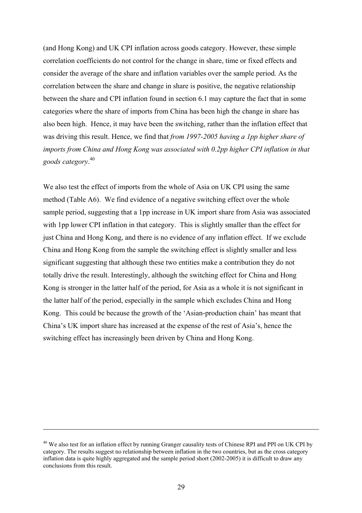(and Hong Kong) and UK CPI inflation across goods category. However, these simple correlation coefficients do not control for the change in share, time or fixed effects and consider the average of the share and inflation variables over the sample period. As the correlation between the share and change in share is positive, the negative relationship between the share and CPI inflation found in section 6.1 may capture the fact that in some categories where the share of imports from China has been high the change in share has also been high. Hence, it may have been the switching, rather than the inflation effect that was driving this result. Hence, we find that *from 1997-2005 having a 1pp higher share of imports from China and Hong Kong was associated with 0.2pp higher CPI inflation in that goods category*. 40

We also test the effect of imports from the whole of Asia on UK CPI using the same method (Table A6). We find evidence of a negative switching effect over the whole sample period, suggesting that a 1pp increase in UK import share from Asia was associated with 1pp lower CPI inflation in that category. This is slightly smaller than the effect for just China and Hong Kong, and there is no evidence of any inflation effect. If we exclude China and Hong Kong from the sample the switching effect is slightly smaller and less significant suggesting that although these two entities make a contribution they do not totally drive the result. Interestingly, although the switching effect for China and Hong Kong is stronger in the latter half of the period, for Asia as a whole it is not significant in the latter half of the period, especially in the sample which excludes China and Hong Kong. This could be because the growth of the 'Asian-production chain' has meant that China's UK import share has increased at the expense of the rest of Asia's, hence the switching effect has increasingly been driven by China and Hong Kong.

<sup>&</sup>lt;sup>40</sup> We also test for an inflation effect by running Granger causality tests of Chinese RPI and PPI on UK CPI by category. The results suggest no relationship between inflation in the two countries, but as the cross category inflation data is quite highly aggregated and the sample period short (2002-2005) it is difficult to draw any conclusions from this result.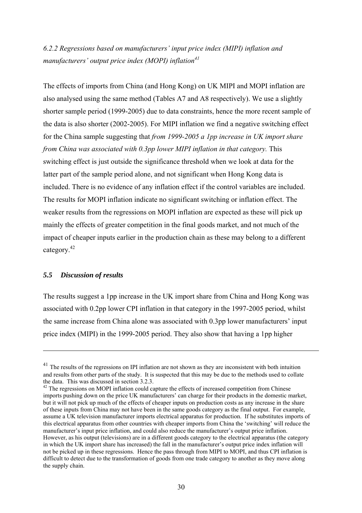*6.2.2 Regressions based on manufacturers' input price index (MIPI) inflation and manufacturers' output price index (MOPI) inflation41*

The effects of imports from China (and Hong Kong) on UK MIPI and MOPI inflation are also analysed using the same method (Tables A7 and A8 respectively). We use a slightly shorter sample period (1999-2005) due to data constraints, hence the more recent sample of the data is also shorter (2002-2005). For MIPI inflation we find a negative switching effect for the China sample suggesting that *from 1999-2005 a 1pp increase in UK import share from China was associated with 0.3pp lower MIPI inflation in that category. This* switching effect is just outside the significance threshold when we look at data for the latter part of the sample period alone, and not significant when Hong Kong data is included. There is no evidence of any inflation effect if the control variables are included. The results for MOPI inflation indicate no significant switching or inflation effect. The weaker results from the regressions on MOPI inflation are expected as these will pick up mainly the effects of greater competition in the final goods market, and not much of the impact of cheaper inputs earlier in the production chain as these may belong to a different category.42

#### *5.5 Discussion of results*

 $\overline{a}$ 

The results suggest a 1pp increase in the UK import share from China and Hong Kong was associated with 0.2pp lower CPI inflation in that category in the 1997-2005 period, whilst the same increase from China alone was associated with 0.3pp lower manufacturers' input price index (MIPI) in the 1999-2005 period. They also show that having a 1pp higher

<sup>&</sup>lt;sup>41</sup> The results of the regressions on IPI inflation are not shown as they are inconsistent with both intuition and results from other parts of the study. It is suspected that this may be due to the methods used to collate the data. This was discussed in section 3.2.3.

 $42$  The regressions on MOPI inflation could capture the effects of increased competition from Chinese imports pushing down on the price UK manufacturers' can charge for their products in the domestic market, but it will not pick up much of the effects of cheaper inputs on production costs as any increase in the share of these inputs from China may not have been in the same goods category as the final output. For example, assume a UK television manufacturer imports electrical apparatus for production. If he substitutes imports of this electrical apparatus from other countries with cheaper imports from China the 'switching' will reduce the manufacturer's input price inflation, and could also reduce the manufacturer's output price inflation. However, as his output (televisions) are in a different goods category to the electrical apparatus (the category in which the UK import share has increased) the fall in the manufacturer's output price index inflation will not be picked up in these regressions. Hence the pass through from MIPI to MOPI, and thus CPI inflation is difficult to detect due to the transformation of goods from one trade category to another as they move along the supply chain.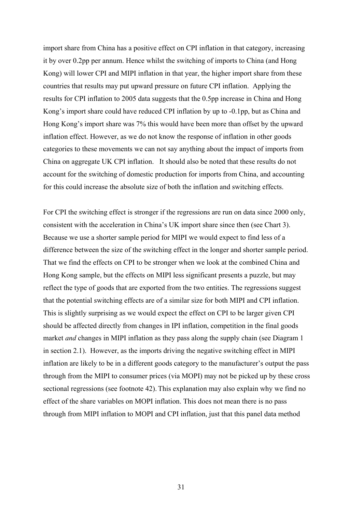import share from China has a positive effect on CPI inflation in that category, increasing it by over 0.2pp per annum. Hence whilst the switching of imports to China (and Hong Kong) will lower CPI and MIPI inflation in that year, the higher import share from these countries that results may put upward pressure on future CPI inflation. Applying the results for CPI inflation to 2005 data suggests that the 0.5pp increase in China and Hong Kong's import share could have reduced CPI inflation by up to -0.1pp, but as China and Hong Kong's import share was 7% this would have been more than offset by the upward inflation effect. However, as we do not know the response of inflation in other goods categories to these movements we can not say anything about the impact of imports from China on aggregate UK CPI inflation. It should also be noted that these results do not account for the switching of domestic production for imports from China, and accounting for this could increase the absolute size of both the inflation and switching effects.

For CPI the switching effect is stronger if the regressions are run on data since 2000 only, consistent with the acceleration in China's UK import share since then (see Chart 3). Because we use a shorter sample period for MIPI we would expect to find less of a difference between the size of the switching effect in the longer and shorter sample period. That we find the effects on CPI to be stronger when we look at the combined China and Hong Kong sample, but the effects on MIPI less significant presents a puzzle, but may reflect the type of goods that are exported from the two entities. The regressions suggest that the potential switching effects are of a similar size for both MIPI and CPI inflation. This is slightly surprising as we would expect the effect on CPI to be larger given CPI should be affected directly from changes in IPI inflation, competition in the final goods market *and* changes in MIPI inflation as they pass along the supply chain (see Diagram 1 in section 2.1). However, as the imports driving the negative switching effect in MIPI inflation are likely to be in a different goods category to the manufacturer's output the pass through from the MIPI to consumer prices (via MOPI) may not be picked up by these cross sectional regressions (see footnote 42). This explanation may also explain why we find no effect of the share variables on MOPI inflation. This does not mean there is no pass through from MIPI inflation to MOPI and CPI inflation, just that this panel data method

31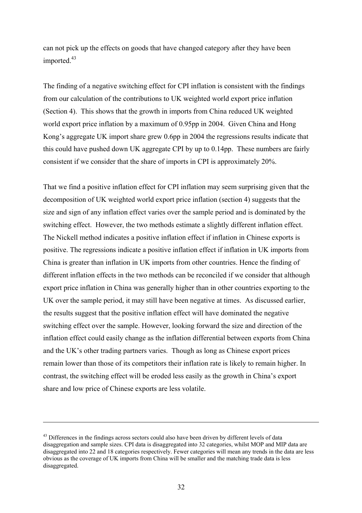can not pick up the effects on goods that have changed category after they have been imported.<sup>43</sup>

The finding of a negative switching effect for CPI inflation is consistent with the findings from our calculation of the contributions to UK weighted world export price inflation (Section 4). This shows that the growth in imports from China reduced UK weighted world export price inflation by a maximum of 0.95pp in 2004. Given China and Hong Kong's aggregate UK import share grew 0.6pp in 2004 the regressions results indicate that this could have pushed down UK aggregate CPI by up to 0.14pp. These numbers are fairly consistent if we consider that the share of imports in CPI is approximately 20%.

That we find a positive inflation effect for CPI inflation may seem surprising given that the decomposition of UK weighted world export price inflation (section 4) suggests that the size and sign of any inflation effect varies over the sample period and is dominated by the switching effect. However, the two methods estimate a slightly different inflation effect. The Nickell method indicates a positive inflation effect if inflation in Chinese exports is positive. The regressions indicate a positive inflation effect if inflation in UK imports from China is greater than inflation in UK imports from other countries. Hence the finding of different inflation effects in the two methods can be reconciled if we consider that although export price inflation in China was generally higher than in other countries exporting to the UK over the sample period, it may still have been negative at times. As discussed earlier, the results suggest that the positive inflation effect will have dominated the negative switching effect over the sample. However, looking forward the size and direction of the inflation effect could easily change as the inflation differential between exports from China and the UK's other trading partners varies. Though as long as Chinese export prices remain lower than those of its competitors their inflation rate is likely to remain higher. In contrast, the switching effect will be eroded less easily as the growth in China's export share and low price of Chinese exports are less volatile.

<sup>&</sup>lt;sup>43</sup> Differences in the findings across sectors could also have been driven by different levels of data disaggregation and sample sizes. CPI data is disaggregated into 32 categories, whilst MOP and MIP data are disaggregated into 22 and 18 categories respectively. Fewer categories will mean any trends in the data are less obvious as the coverage of UK imports from China will be smaller and the matching trade data is less disaggregated.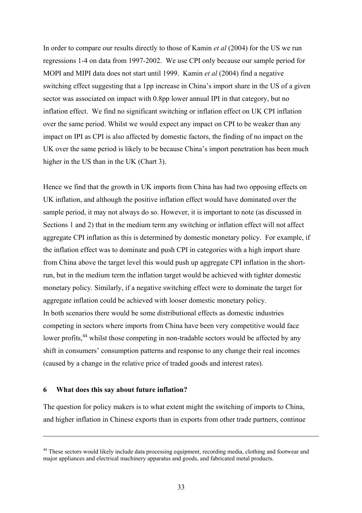In order to compare our results directly to those of Kamin *et al* (2004) for the US we run regressions 1-4 on data from 1997-2002. We use CPI only because our sample period for MOPI and MIPI data does not start until 1999. Kamin *et al* (2004) find a negative switching effect suggesting that a 1pp increase in China's import share in the US of a given sector was associated on impact with 0.8pp lower annual IPI in that category, but no inflation effect. We find no significant switching or inflation effect on UK CPI inflation over the same period. Whilst we would expect any impact on CPI to be weaker than any impact on IPI as CPI is also affected by domestic factors, the finding of no impact on the UK over the same period is likely to be because China's import penetration has been much higher in the US than in the UK (Chart 3).

Hence we find that the growth in UK imports from China has had two opposing effects on UK inflation, and although the positive inflation effect would have dominated over the sample period, it may not always do so. However, it is important to note (as discussed in Sections 1 and 2) that in the medium term any switching or inflation effect will not affect aggregate CPI inflation as this is determined by domestic monetary policy. For example, if the inflation effect was to dominate and push CPI in categories with a high import share from China above the target level this would push up aggregate CPI inflation in the shortrun, but in the medium term the inflation target would be achieved with tighter domestic monetary policy. Similarly, if a negative switching effect were to dominate the target for aggregate inflation could be achieved with looser domestic monetary policy. In both scenarios there would be some distributional effects as domestic industries competing in sectors where imports from China have been very competitive would face lower profits,<sup>44</sup> whilst those competing in non-tradable sectors would be affected by any shift in consumers' consumption patterns and response to any change their real incomes (caused by a change in the relative price of traded goods and interest rates).

#### **6 What does this say about future inflation?**

 $\overline{a}$ 

The question for policy makers is to what extent might the switching of imports to China, and higher inflation in Chinese exports than in exports from other trade partners, continue

<sup>&</sup>lt;sup>44</sup> These sectors would likely include data processing equipment, recording media, clothing and footwear and major appliances and electrical machinery apparatus and goods, and fabricated metal products.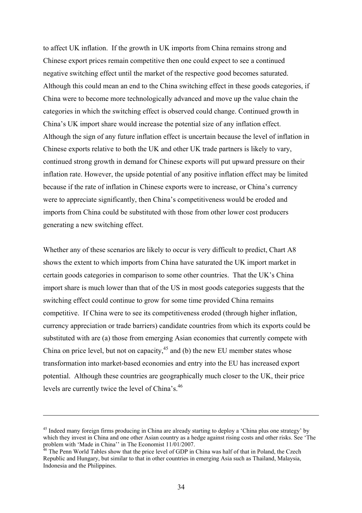to affect UK inflation. If the growth in UK imports from China remains strong and Chinese export prices remain competitive then one could expect to see a continued negative switching effect until the market of the respective good becomes saturated. Although this could mean an end to the China switching effect in these goods categories, if China were to become more technologically advanced and move up the value chain the categories in which the switching effect is observed could change. Continued growth in China's UK import share would increase the potential size of any inflation effect. Although the sign of any future inflation effect is uncertain because the level of inflation in Chinese exports relative to both the UK and other UK trade partners is likely to vary, continued strong growth in demand for Chinese exports will put upward pressure on their inflation rate. However, the upside potential of any positive inflation effect may be limited because if the rate of inflation in Chinese exports were to increase, or China's currency were to appreciate significantly, then China's competitiveness would be eroded and imports from China could be substituted with those from other lower cost producers generating a new switching effect.

Whether any of these scenarios are likely to occur is very difficult to predict, Chart A8 shows the extent to which imports from China have saturated the UK import market in certain goods categories in comparison to some other countries. That the UK's China import share is much lower than that of the US in most goods categories suggests that the switching effect could continue to grow for some time provided China remains competitive. If China were to see its competitiveness eroded (through higher inflation, currency appreciation or trade barriers) candidate countries from which its exports could be substituted with are (a) those from emerging Asian economies that currently compete with China on price level, but not on capacity,  $45$  and (b) the new EU member states whose transformation into market-based economies and entry into the EU has increased export potential. Although these countries are geographically much closer to the UK, their price levels are currently twice the level of China's.46

<sup>&</sup>lt;sup>45</sup> Indeed many foreign firms producing in China are already starting to deploy a 'China plus one strategy' by which they invest in China and one other Asian country as a hedge against rising costs and other risks. See 'The problem with 'Made in China'' in The Economist 11/01/2007.

<sup>&</sup>lt;sup>46</sup> The Penn World Tables show that the price level of GDP in China was half of that in Poland, the Czech Republic and Hungary, but similar to that in other countries in emerging Asia such as Thailand, Malaysia, Indonesia and the Philippines.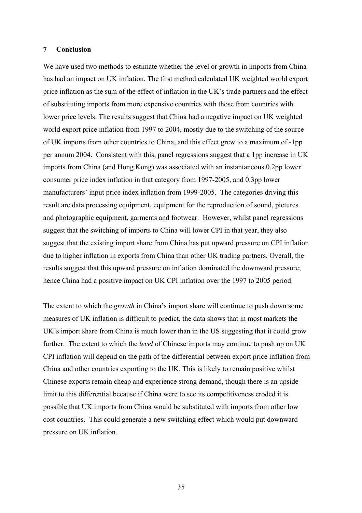#### **7 Conclusion**

We have used two methods to estimate whether the level or growth in imports from China has had an impact on UK inflation. The first method calculated UK weighted world export price inflation as the sum of the effect of inflation in the UK's trade partners and the effect of substituting imports from more expensive countries with those from countries with lower price levels. The results suggest that China had a negative impact on UK weighted world export price inflation from 1997 to 2004, mostly due to the switching of the source of UK imports from other countries to China, and this effect grew to a maximum of -1pp per annum 2004. Consistent with this, panel regressions suggest that a 1pp increase in UK imports from China (and Hong Kong) was associated with an instantaneous 0.2pp lower consumer price index inflation in that category from 1997-2005, and 0.3pp lower manufacturers' input price index inflation from 1999-2005. The categories driving this result are data processing equipment, equipment for the reproduction of sound, pictures and photographic equipment, garments and footwear. However, whilst panel regressions suggest that the switching of imports to China will lower CPI in that year, they also suggest that the existing import share from China has put upward pressure on CPI inflation due to higher inflation in exports from China than other UK trading partners. Overall, the results suggest that this upward pressure on inflation dominated the downward pressure; hence China had a positive impact on UK CPI inflation over the 1997 to 2005 period.

The extent to which the *growth* in China's import share will continue to push down some measures of UK inflation is difficult to predict, the data shows that in most markets the UK's import share from China is much lower than in the US suggesting that it could grow further. The extent to which the *level* of Chinese imports may continue to push up on UK CPI inflation will depend on the path of the differential between export price inflation from China and other countries exporting to the UK. This is likely to remain positive whilst Chinese exports remain cheap and experience strong demand, though there is an upside limit to this differential because if China were to see its competitiveness eroded it is possible that UK imports from China would be substituted with imports from other low cost countries. This could generate a new switching effect which would put downward pressure on UK inflation.

35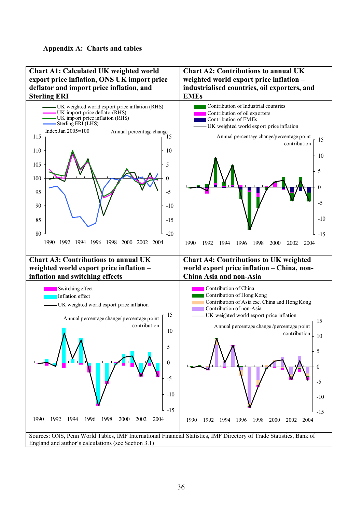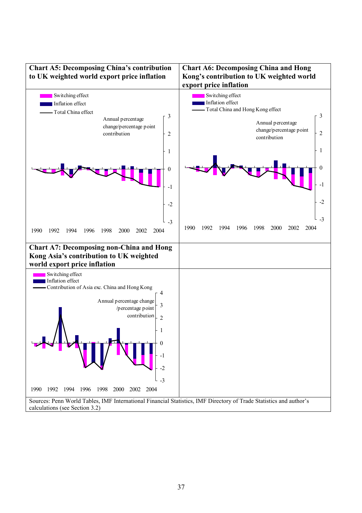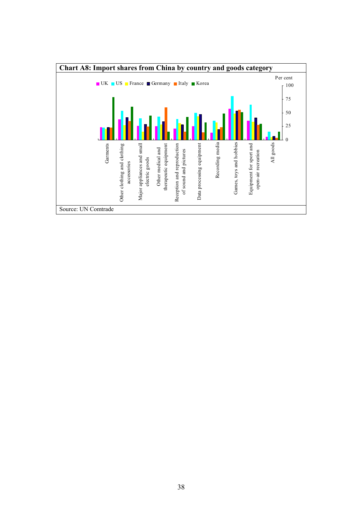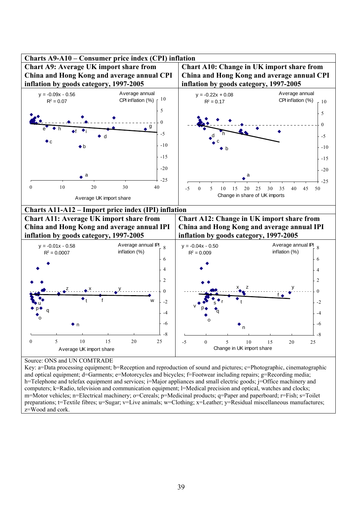

Key: a=Data processing equipment; b=Reception and reproduction of sound and pictures; c=Photographic, cinematographic and optical equipment; d=Garments; e=Motorcycles and bicycles; f=Footwear including repairs; g=Recording media; h=Telephone and telefax equipment and services; i=Major appliances and small electric goods; j=Office machinery and computers; k=Radio, television and communication equipment; l=Medical precision and optical, watches and clocks; m=Motor vehicles; n=Electrical machinery; o=Cereals; p=Medicinal products; q=Paper and paperboard; r=Fish; s=Toilet preparations; t=Textile fibres; u=Sugar; v=Live animals; w=Clothing; x=Leather; y=Residual miscellaneous manufactures; z=Wood and cork.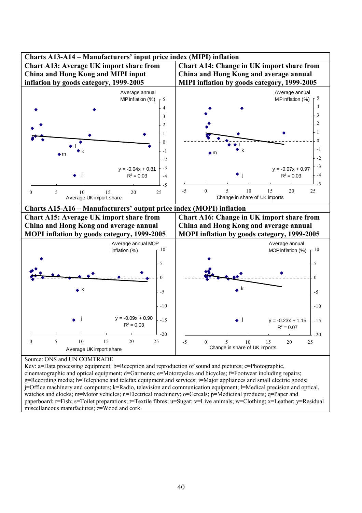

Key: a=Data processing equipment; b=Reception and reproduction of sound and pictures; c=Photographic, cinematographic and optical equipment; d=Garments; e=Motorcycles and bicycles; f=Footwear including repairs; g=Recording media; h=Telephone and telefax equipment and services; i=Major appliances and small electric goods; j=Office machinery and computers; k=Radio, television and communication equipment; l=Medical precision and optical, watches and clocks; m=Motor vehicles; n=Electrical machinery; o=Cereals; p=Medicinal products; q=Paper and paperboard; r=Fish; s=Toilet preparations; t=Textile fibres; u=Sugar; v=Live animals; w=Clothing; x=Leather; y=Residual miscellaneous manufactures; z=Wood and cork.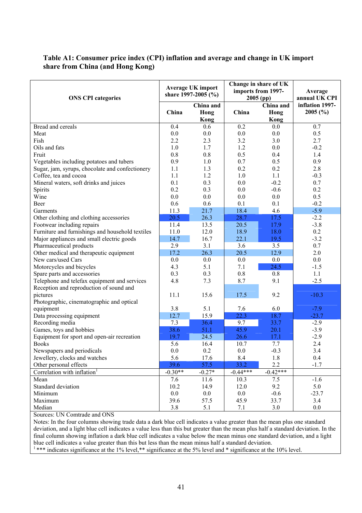## **Table A1: Consumer price index (CPI) inflation and average and change in UK import share from China (and Hong Kong)**

| <b>ONS CPI categories</b>                        |           | <b>Average UK import</b><br>share 1997-2005 $(\% )$ |            | Change in share of UK<br>imports from 1997-<br>$2005$ (pp) | Average<br>annual UK CPI   |
|--------------------------------------------------|-----------|-----------------------------------------------------|------------|------------------------------------------------------------|----------------------------|
|                                                  | China     | China and<br>Hong                                   | China      | China and<br>Hong                                          | inflation 1997-<br>2005(%) |
|                                                  |           | Kong                                                |            | <b>Kong</b>                                                |                            |
| Bread and cereals                                | 0.4       | 0.6                                                 | 0.2        | 0.0                                                        | 0.7                        |
| Meat                                             | 0.0       | 0.0                                                 | $0.0\,$    | 0.0                                                        | 0.5                        |
| Fish                                             | 2.2       | 2.3                                                 | 3.2        | 3.0                                                        | 2.7                        |
| Oils and fats                                    | 1.0       | 1.7                                                 | 1.2        | 0.0                                                        | $-0.2$                     |
| Fruit                                            | 0.8       | 0.8                                                 | 0.5        | 0.4                                                        | 1.4                        |
| Vegetables including potatoes and tubers         | 0.9       | 1.0                                                 | 0.7        | 0.5                                                        | 0.9                        |
| Sugar, jam, syrups, chocolate and confectionery  | 1.1       | 1.3                                                 | 0.2        | 0.2                                                        | 2.8                        |
| Coffee, tea and cocoa                            | 1.1       | 1.2                                                 | 1.0        | 1.1                                                        | $-0.3$                     |
| Mineral waters, soft drinks and juices           | 0.1       | 0.3                                                 | 0.0        | $-0.2$                                                     | 0.7                        |
| Spirits                                          | 0.2       | 0.3                                                 | 0.0        | $-0.6$                                                     | 0.2                        |
| Wine                                             | 0.0       | 0.0                                                 | 0.0        | 0.0                                                        | 0.5                        |
| Beer                                             | 0.6       | 0.6                                                 | 0.1        | 0.1                                                        | $-0.2$                     |
| Garments                                         | 11.3      | 21.7                                                | 18.4       | 4.6                                                        | $-5.9$                     |
| Other clothing and clothing accessories          | 20.5      | 26.3                                                | 28.7       | 17.5                                                       | $-2.2$                     |
| Footwear including repairs                       | 11.4      | 13.5                                                | 20.5       | 17.9                                                       | $-3.8$                     |
| Furniture and furnishings and household textiles | 11.0      | 12.0                                                | 18.9       | 18.0                                                       | 0.2                        |
| Major appliances and small electric goods        | 14.7      | 16.7                                                | 22.1       | 19.5                                                       | $-3.2$                     |
| Pharmaceutical products                          | 2.9       | 3.1                                                 | 3.6        | 3.5                                                        | 0.7                        |
| Other medical and therapeutic equipment          | 17.2      | 26.3                                                | 20.5       | 12.9                                                       | 2.0                        |
| New cars/used Cars                               | 0.0       | 0.0                                                 | 0.0        | 0.0                                                        | $0.0\,$                    |
| Motorcycles and bicycles                         | 4.3       | 5.1                                                 | 7.1        | 24.5                                                       | $-1.5$                     |
| Spare parts and accessories                      | 0.3       | 0.3                                                 | 0.8        | 0.8                                                        | 1.1                        |
| Telephone and telefax equipment and services     | 4.8       | 7.3                                                 | 8.7        | 9.1                                                        | $-2.5$                     |
| Reception and reproduction of sound and          |           |                                                     |            |                                                            |                            |
| pictures                                         | 11.1      | 15.6                                                | 17.5       | 9.2                                                        | $-10.3$                    |
| Photographic, cinematographic and optical        |           |                                                     |            |                                                            |                            |
| equipment                                        | 3.8       | 5.1                                                 | 7.6        | 6.0                                                        | $-7.9$                     |
| Data processing equipment                        | 12.7      | 15.9                                                | 22.3       | 18.7                                                       | $-23.7$                    |
| Recording media                                  | 7.3       | 36.4                                                | 9.7        | 33.7                                                       | $-2.9$                     |
| Games, toys and hobbies                          | 38.6      | 51.1                                                | 45.9       | 20.1                                                       | $-3.9$                     |
| Equipment for sport and open-air recreation      | 19.7      | 24.5                                                | 26.6       | 17.1                                                       | $-2.9$                     |
| <b>Books</b>                                     | 5.6       | 16.4                                                | 10.7       | 7.7                                                        | 2.4                        |
| Newspapers and periodicals                       | 0.0       | 0.2                                                 | 0.0        | $-0.3$                                                     | 3.4                        |
| Jewellery, clocks and watches                    | 5.6       | 17.6                                                | 8.4        | 1.8                                                        | 0.4                        |
| Other personal effects                           | 39.6      | 57.5                                                | 33.2       | 2.2                                                        | $-1.7$                     |
| Correlation with inflation <sup>1</sup>          | $-0.30**$ | $-0.27*$                                            | $-0.44***$ | $-0.42***$                                                 |                            |
| Mean                                             | 7.6       | 11.6                                                | 10.3       | 7.5                                                        | $-1.6$                     |
| Standard deviation                               | 10.2      | 14.9                                                | 12.0       | 9.2                                                        | 5.0                        |
| Minimum                                          | 0.0       | 0.0                                                 | $0.0\,$    | $-0.6$                                                     | $-23.7$                    |
|                                                  |           |                                                     |            |                                                            |                            |
| Maximum                                          | 39.6      | 57.5                                                | 45.9       | 33.7                                                       | 3.4                        |
| Median                                           | 3.8       | 5.1                                                 | 7.1        | 3.0                                                        | 0.0                        |

Sources: UN Comtrade and ONS

Notes: In the four columns showing trade data a dark blue cell indicates a value greater than the mean plus one standard deviation, and a light blue cell indicates a value less than this but greater than the mean plus half a standard deviation. In the final column showing inflation a dark blue cell indicates a value below the mean minus one standard deviation, and a light blue cell indicates a value greater than this but less than the mean minus half a standard deviation.

<sup>1</sup> \*\*\* indicates significance at the 1% level,\*\* significance at the 5% level and \* significance at the 10% level.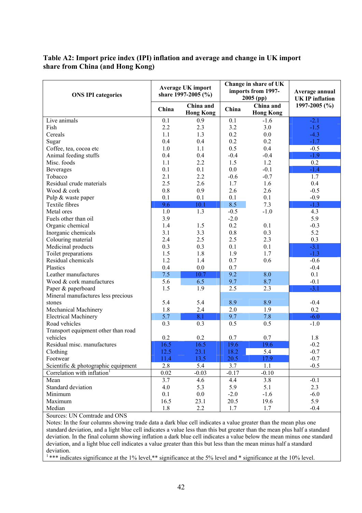## **Table A2: Import price index (IPI) inflation and average and change in UK import share from China (and Hong Kong)**

| <b>ONS IPI categories</b>               | <b>Average UK import</b><br>share 1997-2005 (%) |                               | Change in share of UK<br>imports from 1997-<br>$2005$ (pp) |                               |                   | Average annual<br><b>UK IP</b> inflation |
|-----------------------------------------|-------------------------------------------------|-------------------------------|------------------------------------------------------------|-------------------------------|-------------------|------------------------------------------|
|                                         | China                                           | China and<br><b>Hong Kong</b> | China                                                      | China and<br><b>Hong Kong</b> | 1997-2005 $(\% )$ |                                          |
| Live animals                            | 0.1                                             | 0.9                           | 0.1                                                        | $-1.6$                        | $-2.1$            |                                          |
| Fish                                    | 2.2                                             | 2.3                           | 3.2                                                        | 3.0                           | $-1.5$            |                                          |
| Cereals                                 | 1.1                                             | 1.3                           | 0.2                                                        | $0.0\,$                       | $-4.3$            |                                          |
| Sugar                                   | 0.4                                             | 0.4                           | 0.2                                                        | 0.2                           | $-1.7$            |                                          |
| Coffee, tea, cocoa etc                  | 1.0                                             | 1.1                           | 0.5                                                        | 0.4                           | $-0.5$            |                                          |
| Animal feeding stuffs                   | 0.4                                             | 0.4                           | $-0.4$                                                     | $-0.4$                        | $-1.9$            |                                          |
| Misc. foods                             | 1.1                                             | 2.2                           | 1.5                                                        | 1.2                           | 0.2               |                                          |
| <b>Beverages</b>                        | 0.1                                             | 0.1                           | 0.0                                                        | $-0.1$                        | $-1.4$            |                                          |
| Tobacco                                 | 2.1                                             | 2.2                           | $-0.6$                                                     | $-0.7$                        | 1.7               |                                          |
| Residual crude materials                | 2.5                                             | 2.6                           | 1.7                                                        | 1.6                           | 0.4               |                                          |
| Wood & cork                             | 0.8                                             | 0.9                           | 2.6                                                        | 2.6                           | $-0.5$            |                                          |
| Pulp & waste paper                      | 0.1                                             | 0.1                           | 0.1                                                        | 0.1                           | $-0.9$            |                                          |
| Textile fibres                          | 9.6                                             | 10.1                          | 8.5                                                        | 7.3                           | $-1.3$            |                                          |
| Metal ores                              | 1.0                                             | 1.3                           | $-0.5$                                                     | $-1.0$                        | 4.3               |                                          |
| Fuels other than oil                    | 3.9                                             |                               | $-2.0$                                                     |                               | 5.9               |                                          |
| Organic chemical                        | 1.4                                             | 1.5                           | 0.2                                                        | 0.1                           | $-0.3$            |                                          |
| Inorganic chemicals                     | 3.1                                             | 3.3                           | 0.8                                                        | 0.3                           | 5.2               |                                          |
| Colouring material                      | 2.4                                             | 2.5                           | 2.5                                                        | 2.3                           | 0.3               |                                          |
| Medicinal products                      | 0.3                                             | 0.3                           | 0.1                                                        | 0.1                           | $-3.1$            |                                          |
| Toilet preparations                     | 1.5                                             | 1.8                           | 1.9                                                        | 1.7                           | $-1.3$            |                                          |
| Residual chemicals                      | 1.2                                             | 1.4                           | 0.7                                                        | 0.6                           | $-0.6$            |                                          |
| Plastics                                | 0.4                                             | 0.0                           | 0.7                                                        |                               | $-0.4$            |                                          |
| Leather manufactures                    | 7.5                                             | 10.7                          | 9.2                                                        | 8.0                           | 0.1               |                                          |
| Wood & cork manufactures                | 5.6                                             | 6.5                           | 9.7                                                        | 8.7                           | $-0.1$            |                                          |
| Paper & paperboard                      | 1.5                                             | 1.9                           | 2.5                                                        | 2.3                           | $-3.1$            |                                          |
| Mineral manufactures less precious      |                                                 |                               |                                                            |                               |                   |                                          |
| stones                                  | 5.4                                             | 5.4                           | 8.9                                                        | 8.9                           | $-0.4$            |                                          |
| Mechanical Machinery                    | 1.8                                             | 2.4                           | 2.0                                                        | 1.9                           | 0.2               |                                          |
| <b>Electrical Machinery</b>             | 5.7                                             | 8.1                           | 9.7                                                        | 7.8                           | $-6.0$            |                                          |
| Road vehicles                           | 0.3                                             | 0.3                           | 0.5                                                        | 0.5                           | $-1.0$            |                                          |
| Transport equipment other than road     |                                                 |                               |                                                            |                               |                   |                                          |
| vehicles                                | 0.2                                             | 0.2                           | 0.7                                                        | 0.7                           | 1.8               |                                          |
| Residual misc. manufactures             | 16.5                                            | 16.5                          | 19.6                                                       | 19.6                          | $-0.2$            |                                          |
| Clothing                                | 12.5                                            | 23.1                          | 18.2                                                       | 5.4                           | $-0.7$            |                                          |
| Footwear                                | 11.4                                            | 13.5                          | 20.5                                                       | 17.9                          | $-0.7$            |                                          |
| Scientific & photographic equipment     | 2.8                                             | 5.4                           | 3.7                                                        | 1.1                           | $-0.5$            |                                          |
| Correlation with inflation <sup>1</sup> | 0.02                                            | $-0.03$                       | $-0.17$                                                    | $-0.10$                       |                   |                                          |
| Mean                                    | 3.7                                             | 4.6                           | 4.4                                                        | 3.8                           | $-0.1$            |                                          |
| Standard deviation                      | 4.0                                             | 5.3                           | 5.9                                                        | 5.1                           | 2.3               |                                          |
| Minimum                                 | 0.1                                             | $0.0\,$                       | $-2.0$                                                     | $-1.6$                        | $-6.0$            |                                          |
| Maximum                                 | 16.5                                            | 23.1                          | 20.5                                                       | 19.6                          | 5.9               |                                          |
| Median                                  | 1.8                                             | 2.2                           | 1.7                                                        | 1.7                           | $-0.4$            |                                          |

Sources: UN Comtrade and ONS

Notes: In the four columns showing trade data a dark blue cell indicates a value greater than the mean plus one standard deviation, and a light blue cell indicates a value less than this but greater than the mean plus half a standard deviation. In the final column showing inflation a dark blue cell indicates a value below the mean minus one standard deviation, and a light blue cell indicates a value greater than this but less than the mean minus half a standard deviation.

<sup>1</sup> \*\*\* indicates significance at the 1% level,\*\* significance at the 5% level and \* significance at the 10% level.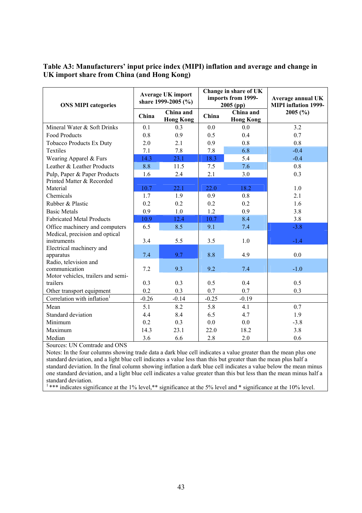## **Table A3: Manufacturers' input price index (MIPI) inflation and average and change in UK import share from China (and Hong Kong)**

| <b>ONS MIPI categories</b>              |         | <b>Average UK import</b><br>share 1999-2005 (%) |         | Change in share of UK<br>imports from 1999-<br>$2005$ (pp) | Average annual UK<br><b>MIPI</b> inflation 1999- |
|-----------------------------------------|---------|-------------------------------------------------|---------|------------------------------------------------------------|--------------------------------------------------|
|                                         | China   | China and<br><b>Hong Kong</b>                   | China   | China and<br><b>Hong Kong</b>                              | 2005(%)                                          |
| Mineral Water & Soft Drinks             | 0.1     | 0.3                                             | 0.0     | 0.0                                                        | 3.2                                              |
| <b>Food Products</b>                    | 0.8     | 0.9                                             | 0.5     | 0.4                                                        | 0.7                                              |
| <b>Tobacco Products Ex Duty</b>         | 2.0     | 2.1                                             | 0.9     | 0.8                                                        | 0.8                                              |
| <b>Textiles</b>                         | 7.1     | 7.8                                             | 7.8     | 6.8                                                        | $-0.4$                                           |
| Wearing Apparel & Furs                  | 14.3    | 23.1                                            | 18.3    | 5.4                                                        | $-0.4$                                           |
| Leather & Leather Products              | 8.8     | 11.5                                            | 7.5     | 7.6                                                        | 0.8                                              |
| Pulp, Paper & Paper Products            | 1.6     | 2.4                                             | 2.1     | 3.0                                                        | 0.3                                              |
| Printed Matter & Recorded               |         |                                                 |         |                                                            |                                                  |
| Material                                | 10.7    | 22.1                                            | 22.0    | 18.2                                                       | 1.0                                              |
| Chemicals                               | 1.7     | 1.9                                             | 0.9     | 0.8                                                        | 2.1                                              |
| Rubber & Plastic                        | 0.2     | 0.2                                             | 0.2     | 0.2                                                        | 1.6                                              |
| <b>Basic Metals</b>                     | 0.9     | 1.0                                             | 1.2     | 0.9                                                        | 3.8                                              |
| <b>Fabricated Metal Products</b>        | 10.9    | 12.4                                            | 10.7    | 8.4                                                        | 3.8                                              |
| Office machinery and computers          | 6.5     | 8.5                                             | 9.1     | 7.4                                                        | $-3.8$                                           |
| Medical, precision and optical          |         |                                                 |         |                                                            |                                                  |
| instruments                             | 3.4     | 5.5                                             | 3.5     | 1.0                                                        | $-1.4$                                           |
| Electrical machinery and                |         |                                                 |         |                                                            |                                                  |
| apparatus                               | 7.4     | 9.7                                             | 8.8     | 4.9                                                        | 0.0                                              |
| Radio, television and                   |         |                                                 |         |                                                            |                                                  |
| communication                           | 7.2     | 9.3                                             | 9.2     | 7.4                                                        | $-1.0$                                           |
| Motor vehicles, trailers and semi-      |         |                                                 |         |                                                            |                                                  |
| trailers                                | 0.3     | 0.3                                             | 0.5     | 0.4                                                        | 0.5                                              |
| Other transport equipment               | 0.2     | 0.3                                             | 0.7     | 0.7                                                        | 0.3                                              |
| Correlation with inflation <sup>1</sup> | $-0.26$ | $-0.14$                                         | $-0.25$ | $-0.19$                                                    |                                                  |
| Mean                                    | 5.1     | 8.2                                             | 5.8     | 4.1                                                        | 0.7                                              |
| Standard deviation                      | 4.4     | 8.4                                             | 6.5     | 4.7                                                        | 1.9                                              |
| Minimum                                 | 0.2     | 0.3                                             | 0.0     | 0.0                                                        | $-3.8$                                           |
| Maximum                                 | 14.3    | 23.1                                            | 22.0    | 18.2                                                       | 3.8                                              |
| Median                                  | 3.6     | 6.6                                             | 2.8     | 2.0                                                        | 0.6                                              |

Sources: UN Comtrade and ONS

Notes: In the four columns showing trade data a dark blue cell indicates a value greater than the mean plus one standard deviation, and a light blue cell indicates a value less than this but greater than the mean plus half a standard deviation. In the final column showing inflation a dark blue cell indicates a value below the mean minus one standard deviation, and a light blue cell indicates a value greater than this but less than the mean minus half a standard deviation.

<sup>1</sup> \*\*\* indicates significance at the 1% level,\*\* significance at the 5% level and \* significance at the 10% level.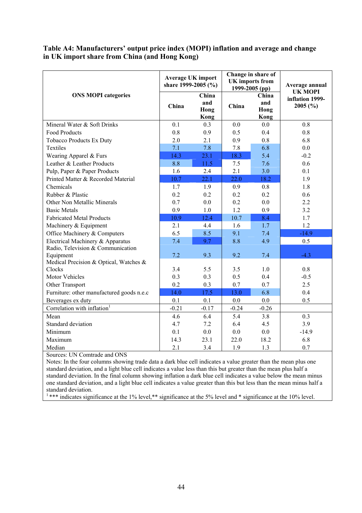## **Table A4: Manufacturers' output price index (MOPI) inflation and average and change in UK import share from China (and Hong Kong)**

|                                           | <b>Average UK import</b><br>share 1999-2005 (%) |                              |         | Change in share of<br><b>UK</b> imports from<br>1999-2005 (pp) | Average annual                               |  |
|-------------------------------------------|-------------------------------------------------|------------------------------|---------|----------------------------------------------------------------|----------------------------------------------|--|
| <b>ONS MOPI categories</b>                | China                                           | China<br>and<br>Hong<br>Kong | China   | China<br>and<br>Hong<br>Kong                                   | <b>UK MOPI</b><br>inflation 1999-<br>2005(%) |  |
| Mineral Water & Soft Drinks               | 0.1                                             | 0.3                          | 0.0     | 0.0                                                            | 0.8                                          |  |
| <b>Food Products</b>                      | 0.8                                             | 0.9                          | 0.5     | 0.4                                                            | 0.8                                          |  |
| <b>Tobacco Products Ex Duty</b>           | 2.0                                             | 2.1                          | 0.9     | 0.8                                                            | 6.8                                          |  |
| Textiles                                  | 7.1                                             | 7.8                          | 7.8     | 6.8                                                            | 0.0                                          |  |
| Wearing Apparel & Furs                    | 14.3                                            | 23.1                         | 18.3    | 5.4                                                            | $-0.2$                                       |  |
| Leather & Leather Products                | 8.8                                             | 11.5                         | 7.5     | 7.6                                                            | 0.6                                          |  |
| Pulp, Paper & Paper Products              | 1.6                                             | 2.4                          | 2.1     | 3.0                                                            | 0.1                                          |  |
| Printed Matter & Recorded Material        | 10.7                                            | 22.1                         | 22.0    | 18.2                                                           | 1.9                                          |  |
| Chemicals                                 | 1.7                                             | 1.9                          | 0.9     | 0.8                                                            | 1.8                                          |  |
| Rubber & Plastic                          | 0.2                                             | 0.2                          | 0.2     | 0.2                                                            | 0.6                                          |  |
| Other Non Metallic Minerals               | 0.7                                             | 0.0                          | 0.2     | 0.0                                                            | 2.2                                          |  |
| <b>Basic Metals</b>                       | 0.9                                             | 1.0                          | 1.2     | 0.9                                                            | 3.2                                          |  |
| <b>Fabricated Metal Products</b>          | 10.9                                            | 12.4                         | 10.7    | 8.4                                                            | 1.7                                          |  |
| Machinery & Equipment                     | 2.1                                             | 4.4                          | 1.6     | 1.7                                                            | 1.2                                          |  |
| Office Machinery & Computers              | 6.5                                             | 8.5                          | 9.1     | 7.4                                                            | $-14.9$                                      |  |
| Electrical Machinery & Apparatus          | 7.4                                             | 9.7                          | 8.8     | 4.9                                                            | 0.5                                          |  |
| Radio, Television & Communication         |                                                 |                              |         |                                                                |                                              |  |
| Equipment                                 | 7.2                                             | 9.3                          | 9.2     | 7.4                                                            | $-4.3$                                       |  |
| Medical Precision & Optical, Watches &    |                                                 |                              |         |                                                                |                                              |  |
| Clocks                                    | 3.4                                             | 5.5                          | 3.5     | 1.0                                                            | 0.8                                          |  |
| Motor Vehicles                            | 0.3                                             | 0.3                          | 0.5     | 0.4                                                            | $-0.5$                                       |  |
| Other Transport                           | 0.2                                             | 0.3                          | 0.7     | 0.7                                                            | 2.5                                          |  |
| Furniture: other manufactured goods n.e.c | 14.0                                            | 17.5                         | 13.0    | 6.8                                                            | 0.4                                          |  |
| Beverages ex duty                         | 0.1                                             | 0.1                          | 0.0     | 0.0                                                            | 0.5                                          |  |
| Correlation with inflation <sup>1</sup>   | $-0.21$                                         | $-0.17$                      | $-0.24$ | $-0.26$                                                        |                                              |  |
| Mean                                      | 4.6                                             | 6.4                          | 5.4     | 3.8                                                            | 0.3                                          |  |
| Standard deviation                        | 4.7                                             | 7.2                          | 6.4     | 4.5                                                            | 3.9                                          |  |
| Minimum                                   | 0.1                                             | 0.0                          | 0.0     | 0.0                                                            | $-14.9$                                      |  |
| Maximum                                   | 14.3                                            | 23.1                         | 22.0    | 18.2                                                           | 6.8                                          |  |
| Median                                    | 2.1                                             | 3.4                          | 1.9     | 1.3                                                            | 0.7                                          |  |

Sources: UN Comtrade and ONS

Notes: In the four columns showing trade data a dark blue cell indicates a value greater than the mean plus one standard deviation, and a light blue cell indicates a value less than this but greater than the mean plus half a standard deviation. In the final column showing inflation a dark blue cell indicates a value below the mean minus one standard deviation, and a light blue cell indicates a value greater than this but less than the mean minus half a standard deviation.

<sup>1</sup>\*\*\* indicates significance at the 1% level,\*\* significance at the 5% level and \* significance at the 10% level.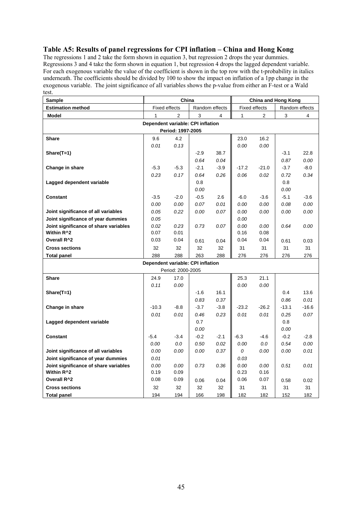## **Table A5: Results of panel regressions for CPI inflation – China and Hong Kong**

The regressions 1 and 2 take the form shown in equation 3, but regression 2 drops the year dummies. Regressions 3 and 4 take the form shown in equation 1, but regression 4 drops the lagged dependent variable. For each exogenous variable the value of the coefficient is shown in the top row with the t-probability in italics underneath. The coefficients should be divided by 100 to show the impact on inflation of a 1pp change in the exogenous variable. The joint significance of all variables shows the p-value from either an F-test or a Wald test.  $\overline{ }$ 

| Sample                                | China                             |                   | <b>China and Hong Kong</b> |        |         |                      |         |                |  |  |
|---------------------------------------|-----------------------------------|-------------------|----------------------------|--------|---------|----------------------|---------|----------------|--|--|
| <b>Estimation method</b>              | <b>Fixed effects</b>              |                   | Random effects             |        |         | <b>Fixed effects</b> |         | Random effects |  |  |
| Model                                 | 1                                 | $\overline{2}$    | 3                          | 4      | 1       | $\overline{2}$       | 3       | 4              |  |  |
| Dependent variable: CPI inflation     |                                   |                   |                            |        |         |                      |         |                |  |  |
| Period: 1997-2005                     |                                   |                   |                            |        |         |                      |         |                |  |  |
| <b>Share</b>                          | 9.6                               | 4.2               |                            |        | 23.0    | 16.2                 |         |                |  |  |
|                                       | 0.01                              | 0.13              |                            |        | 0.00    | 0.00                 |         |                |  |  |
| $Share(T=1)$                          |                                   |                   | $-2.9$                     | 38.7   |         |                      | $-3.1$  | 22.8           |  |  |
|                                       |                                   |                   | 0.64                       | 0.04   |         |                      | 0.87    | 0.00           |  |  |
| Change in share                       | $-5.3$                            | $-5.3$            | $-2.1$                     | $-3.9$ | $-17.2$ | $-21.0$              | $-3.7$  | $-8.0$         |  |  |
|                                       | 0.23                              | 0.17              | 0.64                       | 0.26   | 0.06    | 0.02                 | 0.72    | 0.34           |  |  |
| Lagged dependent variable             |                                   |                   | 0.8                        |        |         |                      | 0.8     |                |  |  |
|                                       |                                   |                   | 0.00                       |        |         |                      | 0.00    |                |  |  |
| <b>Constant</b>                       | $-3.5$                            | $-2.0$            | $-0.5$                     | 2.6    | $-6.0$  | $-3.6$               | $-5.1$  | $-3.6$         |  |  |
|                                       | 0.00                              | 0.00              | 0.07                       | 0.01   | 0.00    | 0.00                 | 0.08    | 0.00           |  |  |
| Joint significance of all variables   | 0.05                              | 0.22              | 0.00                       | 0.07   | 0.00    | 0.00                 | 0.00    | 0.00           |  |  |
| Joint significance of year dummies    | 0.05                              |                   |                            |        | 0.00    |                      |         |                |  |  |
| Joint significance of share variables | 0.02                              | 0.23              | 0.73                       | 0.07   | 0.00    | 0.00                 | 0.64    | 0.00           |  |  |
| Within R^2                            | 0.07                              | 0.01              |                            |        | 0.16    | 0.08                 |         |                |  |  |
| Overall R^2                           | 0.03                              | 0.04              | 0.61                       | 0.04   | 0.04    | 0.04                 | 0.61    | 0.03           |  |  |
| <b>Cross sections</b>                 | 32                                | 32                | 32                         | 32     | 31      | 31                   | 31      | 31             |  |  |
| <b>Total panel</b>                    | 288                               | 288               | 263                        | 288    | 276     | 276                  | 276     | 276            |  |  |
|                                       | Dependent variable: CPI inflation |                   |                            |        |         |                      |         |                |  |  |
|                                       |                                   | Period: 2000-2005 |                            |        |         |                      |         |                |  |  |
| <b>Share</b>                          | 24.9                              | 17.0              |                            |        | 25.3    | 21.1                 |         |                |  |  |
|                                       | 0.11                              | 0.00              |                            |        | 0.00    | 0.00                 |         |                |  |  |
| Share(T=1)                            |                                   |                   | $-1.6$                     | 16.1   |         |                      | 0.4     | 13.6           |  |  |
|                                       |                                   |                   | 0.83                       | 0.37   |         |                      | 0.86    | 0.01           |  |  |
| Change in share                       | $-10.3$                           | $-8.8$            | $-3.7$                     | $-3.8$ | $-23.2$ | $-26.2$              | $-13.1$ | $-16.6$        |  |  |
|                                       | 0.01                              | 0.01              | 0.46                       | 0.23   | 0.01    | 0.01                 | 0.25    | 0.07           |  |  |
| Lagged dependent variable             |                                   |                   | 0.7                        |        |         |                      | 0.8     |                |  |  |
|                                       |                                   |                   | 0.00                       |        |         |                      | 0.00    |                |  |  |
| <b>Constant</b>                       | $-5.4$                            | $-3.4$            | $-0.2$                     | $-2.1$ | $-6.3$  | $-4.6$               | $-0.2$  | $-2.8$         |  |  |
|                                       | 0.00                              | 0.0               | 0.50                       | 0.02   | 0.00    | 0.0                  | 0.54    | 0.00           |  |  |
| Joint significance of all variables   | 0.00                              | 0.00              | 0.00                       | 0.37   | 0       | 0.00                 | 0.00    | 0.01           |  |  |
| Joint significance of year dummies    | 0.01                              |                   |                            |        | 0.03    |                      |         |                |  |  |
| Joint significance of share variables | 0.00                              | 0.00              | 0.73                       | 0.36   | 0.00    | 0.00                 | 0.51    | 0.01           |  |  |
| Within R^2                            | 0.19                              | 0.09              |                            |        | 0.23    | 0.16                 |         |                |  |  |
| Overall R^2                           | 0.08                              | 0.09              | 0.06                       | 0.04   | 0.06    | 0.07                 | 0.58    | 0.02           |  |  |
| <b>Cross sections</b>                 | 32                                | 32                | 32                         | 32     | 31      | 31                   | 31      | 31             |  |  |
| <b>Total panel</b>                    | 194                               | 194               | 166                        | 198    | 182     | 182                  | 152     | 182            |  |  |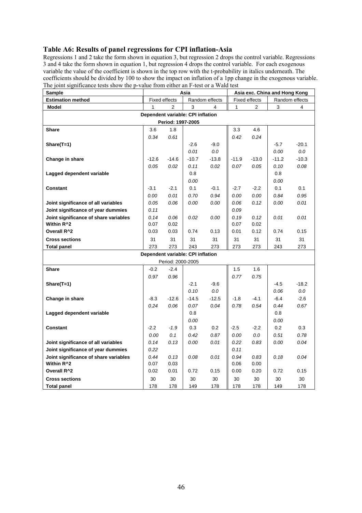## **Table A6: Results of panel regressions for CPI inflation-Asia**

Regressions 1 and 2 take the form shown in equation 3, but regression 2 drops the control variable. Regressions 3 and 4 take the form shown in equation 1, but regression 4 drops the control variable. For each exogenous variable the value of the coefficient is shown in the top row with the t-probability in italics underneath. The coefficients should be divided by 100 to show the impact on inflation of a 1pp change in the exogenous variable. The joint significance tests show the p-value from either an F-test or a Wald test

| <b>Estimation method</b><br><b>Fixed effects</b><br>Random effects<br>Fixed effects<br>Random effects<br><b>Model</b><br>$\mathbf{1}$<br>$\overline{2}$<br>3<br>$\mathbf{1}$<br>$\overline{2}$<br>3<br>4<br>4<br>Dependent variable: CPI inflation<br>Period: 1997-2005<br><b>Share</b><br>3.6<br>1.8<br>3.3<br>4.6<br>0.34<br>0.61<br>0.42<br>0.24<br>$-2.6$<br>$-9.0$<br>$-5.7$<br>$-20.1$<br>$Share(T=1)$<br>$0.0\,$<br>0.01<br>0.0<br>0.00<br>$-13.8$<br>$-10.3$<br>Change in share<br>$-12.6$<br>$-14.6$<br>$-10.7$<br>$-11.9$<br>$-13.0$<br>$-11.2$<br>0.05<br>0.02<br>0.11<br>0.02<br>0.07<br>0.05<br>0.10<br>0.08<br>Lagged dependent variable<br>0.8<br>0.8<br>0.00<br>0.00<br>$-3.1$<br>$-2.1$<br>0.1<br>$-0.1$<br>$-2.2$<br>0.1<br>0.1<br><b>Constant</b><br>$-2.7$<br>0.00<br>0.70<br>0.94<br>0.00<br>0.00<br>0.84<br>0.95<br>0.01<br>0.00<br>0.01<br>Joint significance of all variables<br>0.05<br>0.06<br>0.00<br>0.06<br>0.12<br>0.00<br>Joint significance of year dummies<br>0.11<br>0.09<br>Joint significance of share variables<br>0.14<br>0.02<br>0.00<br>0.19<br>0.12<br>0.01<br>0.01<br>0.06<br>Within R <sup>^2</sup><br>0.07<br>0.07<br>0.02<br>0.02<br>Overall R <sup>^2</sup><br>0.03<br>0.01<br>0.12<br>0.15<br>0.03<br>0.74<br>0.13<br>0.74<br>31<br><b>Cross sections</b><br>31<br>31<br>31<br>31<br>31<br>31<br>31<br>273<br>273<br>243<br>273<br>273<br>273<br>273<br><b>Total panel</b><br>243<br>Dependent variable: CPI inflation<br>Period: 2000-2005<br><b>Share</b><br>$-0.2$<br>$-2.4$<br>1.5<br>1.6<br>0.97<br>0.96<br>0.77<br>0.75<br>$Share(T=1)$<br>$-2.1$<br>$-9.6$<br>$-18.2$<br>-4.5<br>0.0<br>0.10<br>0.0<br>0.06<br>$-2.6$<br>Change in share<br>$-12.6$<br>$-14.5$<br>$-12.5$<br>$-1.8$<br>$-4.1$<br>$-6.4$<br>$-8.3$<br>0.24<br>0.07<br>0.04<br>0.78<br>0.67<br>0.06<br>0.54<br>0.44<br>Lagged dependent variable<br>0.8<br>0.8 | Sample | Asia |  | Asia exc. China and Hong Kong |  |  |  |  |  |  |  |
|------------------------------------------------------------------------------------------------------------------------------------------------------------------------------------------------------------------------------------------------------------------------------------------------------------------------------------------------------------------------------------------------------------------------------------------------------------------------------------------------------------------------------------------------------------------------------------------------------------------------------------------------------------------------------------------------------------------------------------------------------------------------------------------------------------------------------------------------------------------------------------------------------------------------------------------------------------------------------------------------------------------------------------------------------------------------------------------------------------------------------------------------------------------------------------------------------------------------------------------------------------------------------------------------------------------------------------------------------------------------------------------------------------------------------------------------------------------------------------------------------------------------------------------------------------------------------------------------------------------------------------------------------------------------------------------------------------------------------------------------------------------------------------------------------------------------------------------------------------------------------------|--------|------|--|-------------------------------|--|--|--|--|--|--|--|
|                                                                                                                                                                                                                                                                                                                                                                                                                                                                                                                                                                                                                                                                                                                                                                                                                                                                                                                                                                                                                                                                                                                                                                                                                                                                                                                                                                                                                                                                                                                                                                                                                                                                                                                                                                                                                                                                                    |        |      |  |                               |  |  |  |  |  |  |  |
|                                                                                                                                                                                                                                                                                                                                                                                                                                                                                                                                                                                                                                                                                                                                                                                                                                                                                                                                                                                                                                                                                                                                                                                                                                                                                                                                                                                                                                                                                                                                                                                                                                                                                                                                                                                                                                                                                    |        |      |  |                               |  |  |  |  |  |  |  |
|                                                                                                                                                                                                                                                                                                                                                                                                                                                                                                                                                                                                                                                                                                                                                                                                                                                                                                                                                                                                                                                                                                                                                                                                                                                                                                                                                                                                                                                                                                                                                                                                                                                                                                                                                                                                                                                                                    |        |      |  |                               |  |  |  |  |  |  |  |
|                                                                                                                                                                                                                                                                                                                                                                                                                                                                                                                                                                                                                                                                                                                                                                                                                                                                                                                                                                                                                                                                                                                                                                                                                                                                                                                                                                                                                                                                                                                                                                                                                                                                                                                                                                                                                                                                                    |        |      |  |                               |  |  |  |  |  |  |  |
|                                                                                                                                                                                                                                                                                                                                                                                                                                                                                                                                                                                                                                                                                                                                                                                                                                                                                                                                                                                                                                                                                                                                                                                                                                                                                                                                                                                                                                                                                                                                                                                                                                                                                                                                                                                                                                                                                    |        |      |  |                               |  |  |  |  |  |  |  |
|                                                                                                                                                                                                                                                                                                                                                                                                                                                                                                                                                                                                                                                                                                                                                                                                                                                                                                                                                                                                                                                                                                                                                                                                                                                                                                                                                                                                                                                                                                                                                                                                                                                                                                                                                                                                                                                                                    |        |      |  |                               |  |  |  |  |  |  |  |
|                                                                                                                                                                                                                                                                                                                                                                                                                                                                                                                                                                                                                                                                                                                                                                                                                                                                                                                                                                                                                                                                                                                                                                                                                                                                                                                                                                                                                                                                                                                                                                                                                                                                                                                                                                                                                                                                                    |        |      |  |                               |  |  |  |  |  |  |  |
|                                                                                                                                                                                                                                                                                                                                                                                                                                                                                                                                                                                                                                                                                                                                                                                                                                                                                                                                                                                                                                                                                                                                                                                                                                                                                                                                                                                                                                                                                                                                                                                                                                                                                                                                                                                                                                                                                    |        |      |  |                               |  |  |  |  |  |  |  |
|                                                                                                                                                                                                                                                                                                                                                                                                                                                                                                                                                                                                                                                                                                                                                                                                                                                                                                                                                                                                                                                                                                                                                                                                                                                                                                                                                                                                                                                                                                                                                                                                                                                                                                                                                                                                                                                                                    |        |      |  |                               |  |  |  |  |  |  |  |
|                                                                                                                                                                                                                                                                                                                                                                                                                                                                                                                                                                                                                                                                                                                                                                                                                                                                                                                                                                                                                                                                                                                                                                                                                                                                                                                                                                                                                                                                                                                                                                                                                                                                                                                                                                                                                                                                                    |        |      |  |                               |  |  |  |  |  |  |  |
|                                                                                                                                                                                                                                                                                                                                                                                                                                                                                                                                                                                                                                                                                                                                                                                                                                                                                                                                                                                                                                                                                                                                                                                                                                                                                                                                                                                                                                                                                                                                                                                                                                                                                                                                                                                                                                                                                    |        |      |  |                               |  |  |  |  |  |  |  |
|                                                                                                                                                                                                                                                                                                                                                                                                                                                                                                                                                                                                                                                                                                                                                                                                                                                                                                                                                                                                                                                                                                                                                                                                                                                                                                                                                                                                                                                                                                                                                                                                                                                                                                                                                                                                                                                                                    |        |      |  |                               |  |  |  |  |  |  |  |
|                                                                                                                                                                                                                                                                                                                                                                                                                                                                                                                                                                                                                                                                                                                                                                                                                                                                                                                                                                                                                                                                                                                                                                                                                                                                                                                                                                                                                                                                                                                                                                                                                                                                                                                                                                                                                                                                                    |        |      |  |                               |  |  |  |  |  |  |  |
|                                                                                                                                                                                                                                                                                                                                                                                                                                                                                                                                                                                                                                                                                                                                                                                                                                                                                                                                                                                                                                                                                                                                                                                                                                                                                                                                                                                                                                                                                                                                                                                                                                                                                                                                                                                                                                                                                    |        |      |  |                               |  |  |  |  |  |  |  |
|                                                                                                                                                                                                                                                                                                                                                                                                                                                                                                                                                                                                                                                                                                                                                                                                                                                                                                                                                                                                                                                                                                                                                                                                                                                                                                                                                                                                                                                                                                                                                                                                                                                                                                                                                                                                                                                                                    |        |      |  |                               |  |  |  |  |  |  |  |
|                                                                                                                                                                                                                                                                                                                                                                                                                                                                                                                                                                                                                                                                                                                                                                                                                                                                                                                                                                                                                                                                                                                                                                                                                                                                                                                                                                                                                                                                                                                                                                                                                                                                                                                                                                                                                                                                                    |        |      |  |                               |  |  |  |  |  |  |  |
|                                                                                                                                                                                                                                                                                                                                                                                                                                                                                                                                                                                                                                                                                                                                                                                                                                                                                                                                                                                                                                                                                                                                                                                                                                                                                                                                                                                                                                                                                                                                                                                                                                                                                                                                                                                                                                                                                    |        |      |  |                               |  |  |  |  |  |  |  |
|                                                                                                                                                                                                                                                                                                                                                                                                                                                                                                                                                                                                                                                                                                                                                                                                                                                                                                                                                                                                                                                                                                                                                                                                                                                                                                                                                                                                                                                                                                                                                                                                                                                                                                                                                                                                                                                                                    |        |      |  |                               |  |  |  |  |  |  |  |
|                                                                                                                                                                                                                                                                                                                                                                                                                                                                                                                                                                                                                                                                                                                                                                                                                                                                                                                                                                                                                                                                                                                                                                                                                                                                                                                                                                                                                                                                                                                                                                                                                                                                                                                                                                                                                                                                                    |        |      |  |                               |  |  |  |  |  |  |  |
|                                                                                                                                                                                                                                                                                                                                                                                                                                                                                                                                                                                                                                                                                                                                                                                                                                                                                                                                                                                                                                                                                                                                                                                                                                                                                                                                                                                                                                                                                                                                                                                                                                                                                                                                                                                                                                                                                    |        |      |  |                               |  |  |  |  |  |  |  |
|                                                                                                                                                                                                                                                                                                                                                                                                                                                                                                                                                                                                                                                                                                                                                                                                                                                                                                                                                                                                                                                                                                                                                                                                                                                                                                                                                                                                                                                                                                                                                                                                                                                                                                                                                                                                                                                                                    |        |      |  |                               |  |  |  |  |  |  |  |
|                                                                                                                                                                                                                                                                                                                                                                                                                                                                                                                                                                                                                                                                                                                                                                                                                                                                                                                                                                                                                                                                                                                                                                                                                                                                                                                                                                                                                                                                                                                                                                                                                                                                                                                                                                                                                                                                                    |        |      |  |                               |  |  |  |  |  |  |  |
|                                                                                                                                                                                                                                                                                                                                                                                                                                                                                                                                                                                                                                                                                                                                                                                                                                                                                                                                                                                                                                                                                                                                                                                                                                                                                                                                                                                                                                                                                                                                                                                                                                                                                                                                                                                                                                                                                    |        |      |  |                               |  |  |  |  |  |  |  |
|                                                                                                                                                                                                                                                                                                                                                                                                                                                                                                                                                                                                                                                                                                                                                                                                                                                                                                                                                                                                                                                                                                                                                                                                                                                                                                                                                                                                                                                                                                                                                                                                                                                                                                                                                                                                                                                                                    |        |      |  |                               |  |  |  |  |  |  |  |
|                                                                                                                                                                                                                                                                                                                                                                                                                                                                                                                                                                                                                                                                                                                                                                                                                                                                                                                                                                                                                                                                                                                                                                                                                                                                                                                                                                                                                                                                                                                                                                                                                                                                                                                                                                                                                                                                                    |        |      |  |                               |  |  |  |  |  |  |  |
|                                                                                                                                                                                                                                                                                                                                                                                                                                                                                                                                                                                                                                                                                                                                                                                                                                                                                                                                                                                                                                                                                                                                                                                                                                                                                                                                                                                                                                                                                                                                                                                                                                                                                                                                                                                                                                                                                    |        |      |  |                               |  |  |  |  |  |  |  |
|                                                                                                                                                                                                                                                                                                                                                                                                                                                                                                                                                                                                                                                                                                                                                                                                                                                                                                                                                                                                                                                                                                                                                                                                                                                                                                                                                                                                                                                                                                                                                                                                                                                                                                                                                                                                                                                                                    |        |      |  |                               |  |  |  |  |  |  |  |
|                                                                                                                                                                                                                                                                                                                                                                                                                                                                                                                                                                                                                                                                                                                                                                                                                                                                                                                                                                                                                                                                                                                                                                                                                                                                                                                                                                                                                                                                                                                                                                                                                                                                                                                                                                                                                                                                                    |        |      |  |                               |  |  |  |  |  |  |  |
|                                                                                                                                                                                                                                                                                                                                                                                                                                                                                                                                                                                                                                                                                                                                                                                                                                                                                                                                                                                                                                                                                                                                                                                                                                                                                                                                                                                                                                                                                                                                                                                                                                                                                                                                                                                                                                                                                    |        |      |  |                               |  |  |  |  |  |  |  |
|                                                                                                                                                                                                                                                                                                                                                                                                                                                                                                                                                                                                                                                                                                                                                                                                                                                                                                                                                                                                                                                                                                                                                                                                                                                                                                                                                                                                                                                                                                                                                                                                                                                                                                                                                                                                                                                                                    |        |      |  |                               |  |  |  |  |  |  |  |
| 0.00<br>0.00                                                                                                                                                                                                                                                                                                                                                                                                                                                                                                                                                                                                                                                                                                                                                                                                                                                                                                                                                                                                                                                                                                                                                                                                                                                                                                                                                                                                                                                                                                                                                                                                                                                                                                                                                                                                                                                                       |        |      |  |                               |  |  |  |  |  |  |  |
| $-2.2$<br>$-1.9$<br>0.3<br>0.2<br>$-2.5$<br>$-2.2$<br>0.2<br>0.3<br><b>Constant</b>                                                                                                                                                                                                                                                                                                                                                                                                                                                                                                                                                                                                                                                                                                                                                                                                                                                                                                                                                                                                                                                                                                                                                                                                                                                                                                                                                                                                                                                                                                                                                                                                                                                                                                                                                                                                |        |      |  |                               |  |  |  |  |  |  |  |
| 0.78<br>0.00<br>0.1<br>0.87<br>0.00<br>0.0<br>0.51<br>0.42                                                                                                                                                                                                                                                                                                                                                                                                                                                                                                                                                                                                                                                                                                                                                                                                                                                                                                                                                                                                                                                                                                                                                                                                                                                                                                                                                                                                                                                                                                                                                                                                                                                                                                                                                                                                                         |        |      |  |                               |  |  |  |  |  |  |  |
| 0.01<br>0.22<br>0.04<br>Joint significance of all variables<br>0.14<br>0.13<br>0.00<br>0.83<br>0.00                                                                                                                                                                                                                                                                                                                                                                                                                                                                                                                                                                                                                                                                                                                                                                                                                                                                                                                                                                                                                                                                                                                                                                                                                                                                                                                                                                                                                                                                                                                                                                                                                                                                                                                                                                                |        |      |  |                               |  |  |  |  |  |  |  |
| Joint significance of year dummies<br>0.22<br>0.11                                                                                                                                                                                                                                                                                                                                                                                                                                                                                                                                                                                                                                                                                                                                                                                                                                                                                                                                                                                                                                                                                                                                                                                                                                                                                                                                                                                                                                                                                                                                                                                                                                                                                                                                                                                                                                 |        |      |  |                               |  |  |  |  |  |  |  |
| Joint significance of share variables<br>0.44<br>0.13<br>0.08<br>0.01<br>0.94<br>0.83<br>0.18<br>0.04<br>Within R <sup>^2</sup><br>0.06<br>0.07<br>0.03<br>0.00                                                                                                                                                                                                                                                                                                                                                                                                                                                                                                                                                                                                                                                                                                                                                                                                                                                                                                                                                                                                                                                                                                                                                                                                                                                                                                                                                                                                                                                                                                                                                                                                                                                                                                                    |        |      |  |                               |  |  |  |  |  |  |  |
| Overall R <sup>^2</sup><br>0.15<br>0.02<br>0.01<br>0.72<br>0.15<br>0.00<br>0.20<br>0.72                                                                                                                                                                                                                                                                                                                                                                                                                                                                                                                                                                                                                                                                                                                                                                                                                                                                                                                                                                                                                                                                                                                                                                                                                                                                                                                                                                                                                                                                                                                                                                                                                                                                                                                                                                                            |        |      |  |                               |  |  |  |  |  |  |  |
| 30<br><b>Cross sections</b><br>30<br>30<br>30<br>30<br>30<br>30<br>30                                                                                                                                                                                                                                                                                                                                                                                                                                                                                                                                                                                                                                                                                                                                                                                                                                                                                                                                                                                                                                                                                                                                                                                                                                                                                                                                                                                                                                                                                                                                                                                                                                                                                                                                                                                                              |        |      |  |                               |  |  |  |  |  |  |  |
| 178<br>178<br><b>Total panel</b><br>178<br>178<br>149<br>178<br>149<br>178                                                                                                                                                                                                                                                                                                                                                                                                                                                                                                                                                                                                                                                                                                                                                                                                                                                                                                                                                                                                                                                                                                                                                                                                                                                                                                                                                                                                                                                                                                                                                                                                                                                                                                                                                                                                         |        |      |  |                               |  |  |  |  |  |  |  |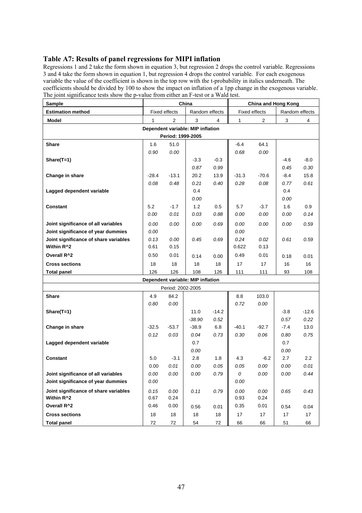## **Table A7: Results of panel regressions for MIPI inflation**

Regressions 1 and 2 take the form shown in equation 3, but regression 2 drops the control variable. Regressions 3 and 4 take the form shown in equation 1, but regression 4 drops the control variable. For each exogenous variable the value of the coefficient is shown in the top row with the t-probability in italics underneath. The coefficients should be divided by 100 to show the impact on inflation of a 1pp change in the exogenous variable. The joint significance tests show the p-value from either an F-test or a Wald test.

| Sample                                | China   |                      |                                   | <b>China and Hong Kong</b> |              |                      |                |                  |  |  |
|---------------------------------------|---------|----------------------|-----------------------------------|----------------------------|--------------|----------------------|----------------|------------------|--|--|
| <b>Estimation method</b>              |         | <b>Fixed effects</b> | Random effects                    |                            |              | <b>Fixed effects</b> | Random effects |                  |  |  |
| <b>Model</b>                          | 1       | $\overline{2}$       | 3                                 | 4                          | $\mathbf{1}$ | 2                    | 3              | 4                |  |  |
| Dependent variable: MIP inflation     |         |                      |                                   |                            |              |                      |                |                  |  |  |
|                                       |         | Period: 1999-2005    |                                   |                            |              |                      |                |                  |  |  |
| Share                                 | 1.6     | 51.0                 |                                   |                            | $-6.4$       | 64.1                 |                |                  |  |  |
|                                       | 0.90    | 0.00                 |                                   |                            | 0.68         | 0.00                 |                |                  |  |  |
| Share(T=1)                            |         |                      | $-3.3$                            | $-0.3$                     |              |                      | -4.6           | $-8.0$           |  |  |
|                                       |         |                      | 0.87                              | 0.99                       |              |                      | 0.45           | 0.30             |  |  |
| Change in share                       | $-28.4$ | $-13.1$              | 20.2                              | 13.9                       | $-31.3$      | $-70.6$              | -8.4           | 15.8             |  |  |
|                                       | 0.08    | 0.48                 | 0.21                              | 0.40                       | 0.28         | 0.08                 | 0.77           | 0.61             |  |  |
| Lagged dependent variable             |         |                      | 0.4                               |                            |              |                      | 0.4            |                  |  |  |
|                                       |         |                      | 0.00                              |                            |              |                      | 0.00           |                  |  |  |
| Constant                              | 5.2     | $-1.7$               | 1.2                               | 0.5                        | 5.7          | $-3.7$               | 1.6            | 0.9              |  |  |
|                                       | 0.00    | 0.01                 | 0.03                              | 0.88                       | 0.00         | 0.00                 | 0.00           | 0.14             |  |  |
| Joint significance of all variables   | 0.00    | 0.00                 | 0.00                              | 0.69                       | 0.00         | 0.00                 | 0.00           | 0.59             |  |  |
| Joint significance of year dummies    | 0.00    |                      |                                   |                            | 0.00         |                      |                |                  |  |  |
| Joint significance of share variables | 0.13    | 0.00                 | 0.45                              | 0.69                       | 0.24         | 0.02                 | 0.61           | 0.59             |  |  |
| Within R^2                            | 0.61    | 0.15                 |                                   |                            | 0.622        | 0.13                 |                |                  |  |  |
| Overall R <sup>^2</sup>               | 0.50    | 0.01                 | 0.14                              | 0.00                       | 0.49         | 0.01                 | 0.18           | 0.01             |  |  |
| <b>Cross sections</b>                 | 18      | 18                   | 18                                | 18                         | 17           | 17                   | 16             | 16               |  |  |
| <b>Total panel</b>                    | 126     | 126                  | 108                               | 126                        | 111          | 111                  | 93             | 108              |  |  |
|                                       |         |                      | Dependent variable: MIP inflation |                            |              |                      |                |                  |  |  |
|                                       |         | Period: 2002-2005    |                                   |                            |              |                      |                |                  |  |  |
| Share                                 | 4.9     | 84.2                 |                                   |                            | 8.8          | 103.0                |                |                  |  |  |
|                                       | 0.80    | 0.00                 |                                   |                            | 0.72         | 0.00                 |                |                  |  |  |
| Share(T=1)                            |         |                      | 11.0                              | $-14.2$                    |              |                      | $-3.8$         | $-12.6$          |  |  |
|                                       |         |                      | $-38.90$                          | 0.52                       |              |                      | 0.57           | 0.22             |  |  |
| Change in share                       | $-32.5$ | $-53.7$              | $-38.9$                           | 6.8                        | $-40.1$      | $-92.7$              | $-7.4$         | 13.0             |  |  |
|                                       | 0.12    | 0.03                 | 0.04                              | 0.73                       | 0.30         | 0.06                 | 0.80           | 0.75             |  |  |
| Lagged dependent variable             |         |                      | 0.7                               |                            |              |                      | 0.7            |                  |  |  |
|                                       |         |                      | 0.00                              |                            |              |                      | 0.00           |                  |  |  |
| <b>Constant</b>                       | 5.0     | $-3.1$               | 2.8                               | 1.8                        | 4.3          | $-6.2$               | 2.7            | $2.2\phantom{0}$ |  |  |
|                                       | 0.00    | 0.01                 | 0.00                              | 0.05                       | 0.05         | 0.00                 | 0.00           | 0.01             |  |  |
| Joint significance of all variables   | 0.00    | 0.00                 | 0.00                              | 0.79                       | 0            | 0.00                 | 0.00           | 0.44             |  |  |
| Joint significance of year dummies    | 0.00    |                      |                                   |                            | 0.00         |                      |                |                  |  |  |
| Joint significance of share variables | 0.15    | 0.00                 | 0.11                              | 0.79                       | 0.00         | 0.00                 | 0.65           | 0.43             |  |  |
| Within R^2                            | 0.67    | 0.24                 |                                   |                            | 0.93         | 0.24                 |                |                  |  |  |
| Overall R <sup>^2</sup>               | 0.46    | 0.00                 | 0.56                              | 0.01                       | 0.35         | 0.01                 | 0.54           | 0.04             |  |  |
| <b>Cross sections</b>                 | 18      | 18                   | 18                                | 18                         | 17           | 17                   | 17             | 17               |  |  |
| <b>Total panel</b>                    | 72      | 72                   | 54                                | $72\,$                     | 66           | 66                   | 51             | 66               |  |  |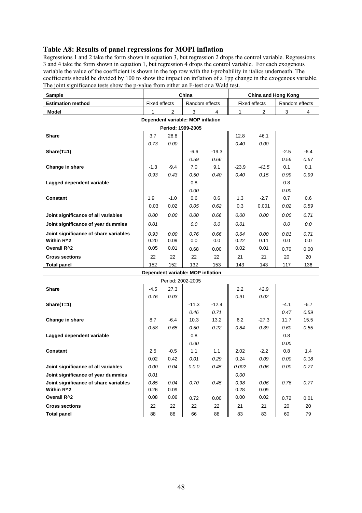# **Table A8: Results of panel regressions for MOPI inflation**

Regressions 1 and 2 take the form shown in equation 3, but regression 2 drops the control variable. Regressions 3 and 4 take the form shown in equation 1, but regression 4 drops the control variable. For each exogenous variable the value of the coefficient is shown in the top row with the t-probability in italics underneath. The coefficients should be divided by 100 to show the impact on inflation of a 1pp change in the exogenous variable. The joint significance tests show the p-value from either an F-test or a Wald test.

| <b>Sample</b>                         | China                |                |                                   | China and Hong Kong |                  |                |                |        |  |
|---------------------------------------|----------------------|----------------|-----------------------------------|---------------------|------------------|----------------|----------------|--------|--|
| <b>Estimation method</b>              | <b>Fixed effects</b> |                | Random effects                    |                     |                  | Fixed effects  | Random effects |        |  |
| Model                                 | 1                    | $\overline{2}$ | 3                                 | 4                   | $\mathbf{1}$     | $\overline{2}$ | 3              | 4      |  |
|                                       |                      |                | Dependent variable: MOP inflation |                     |                  |                |                |        |  |
| Period: 1999-2005                     |                      |                |                                   |                     |                  |                |                |        |  |
| Share                                 | 3.7                  | 28.8           |                                   |                     | 12.8             | 46.1           |                |        |  |
|                                       | 0.73                 | 0.00           |                                   |                     | 0.40             | 0.00           |                |        |  |
| Share(T=1)                            |                      |                | -6.6                              | $-19.3$             |                  |                | -2.5           | $-6.4$ |  |
|                                       |                      |                | 0.59                              | 0.66                |                  |                | 0.56           | 0.67   |  |
| Change in share                       | $-1.3$               | $-9.4$         | 7.0                               | 9.1                 | -23.9            | $-41.5$        | 0.1            | 0.1    |  |
|                                       | 0.93                 | 0.43           | 0.50                              | 0.40                | 0.40             | 0.15           | 0.99           | 0.99   |  |
| Lagged dependent variable             |                      |                | 0.8                               |                     |                  |                | 0.8            |        |  |
|                                       |                      |                | 0.00                              |                     |                  |                | 0.00           |        |  |
| Constant                              | 1.9                  | $-1.0$         | 0.6                               | 0.6                 | 1.3              | $-2.7$         | 0.7            | 0.6    |  |
|                                       | 0.03                 | 0.02           | 0.05                              | 0.62                | 0.3              | 0.001          | 0.02           | 0.59   |  |
| Joint significance of all variables   | 0.00                 | 0.00           | 0.00                              | 0.66                | 0.00             | 0.00           | 0.00           | 0.71   |  |
| Joint significance of year dummies    | 0.01                 |                | 0.0                               | 0.0                 | 0.01             |                | 0.0            | 0.0    |  |
| Joint significance of share variables | 0.93                 | 0.00           | 0.76                              | 0.66                | 0.64             | 0.00           | 0.81           | 0.71   |  |
| Within R <sup>^2</sup>                | 0.20                 | 0.09           | 0.0                               | 0.0                 | 0.22             | 0.11           | 0.0            | 0.0    |  |
| Overall R <sup>^2</sup>               | 0.05                 | 0.01           | 0.68                              | 0.00                | 0.02             | 0.01           | 0.70           | 0.00   |  |
| <b>Cross sections</b>                 | 22                   | 22             | 22                                | 22                  | 21               | 21             | 20             | 20     |  |
| <b>Total panel</b>                    | 152                  | 152            | 132                               | 153                 | 143              | 143            | 117            | 136    |  |
|                                       |                      |                | Dependent variable: MOP inflation |                     |                  |                |                |        |  |
|                                       |                      |                | Period: 2002-2005                 |                     |                  |                |                |        |  |
| <b>Share</b>                          | $-4.5$               | 27.3           |                                   |                     | $2.2\phantom{0}$ | 42.9           |                |        |  |
|                                       | 0.76                 | 0.03           |                                   |                     | 0.91             | 0.02           |                |        |  |
| Share(T=1)                            |                      |                | $-11.3$                           | $-12.4$             |                  |                | $-4.1$         | $-6.7$ |  |
|                                       |                      |                | 0.46                              | 0.71                |                  |                | 0.47           | 0.59   |  |
| Change in share                       | 8.7                  | $-6.4$         | 10.3                              | 13.2                | 6.2              | $-27.3$        | 11.7           | 15.5   |  |
|                                       | 0.58                 | 0.65           | 0.50                              | 0.22                | 0.84             | 0.39           | 0.60           | 0.55   |  |
| Lagged dependent variable             |                      |                | 0.8<br>0.00                       |                     |                  |                | 0.8<br>0.00    |        |  |
| <b>Constant</b>                       | 2.5                  | $-0.5$         | 1.1                               | 1.1                 | 2.02             | $-2.2$         | 0.8            | 1.4    |  |
|                                       | 0.02                 | 0.42           | 0.01                              | 0.29                | 0.24             | 0.09           | 0.00           | 0.18   |  |
| Joint significance of all variables   | 0.00                 | 0.04           | 0.0.0                             | 0.45                | 0.002            | 0.06           | 0.00           | 0.77   |  |
| Joint significance of year dummies    | 0.01                 |                |                                   |                     | 0.00             |                |                |        |  |
| Joint significance of share variables | 0.85                 | 0.04           | 0.70                              | 0.45                | 0.98             | 0.06           | 0.76           | 0.77   |  |
| Within R <sup>^2</sup>                | 0.26                 | 0.09           |                                   |                     | 0.28             | 0.09           |                |        |  |
| Overall R <sup>^2</sup>               | 0.08                 | 0.06           | 0.72                              | 0.00                | 0.00             | 0.02           | 0.72           | 0.01   |  |
| <b>Cross sections</b>                 | 22                   | 22             | 22                                | 22                  | 21               | 21             | 20             | 20     |  |
| <b>Total panel</b>                    | 88                   | 88             | 66                                | 88                  | 83               | 83             | 60             | 79     |  |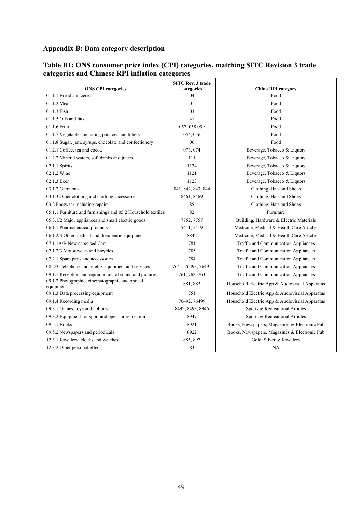## **Appendix B: Data category description**

| <b>ONS CPI categories</b>                                     | <b>SITC Rev. 3 trade</b><br>categories | <b>China RPI category</b>                      |
|---------------------------------------------------------------|----------------------------------------|------------------------------------------------|
| 01.1.1 Bread and cereals                                      | 04                                     | Food                                           |
| 01.1.2 Meat                                                   | 01                                     | Food                                           |
| 01.1.3 Fish                                                   | 03                                     | Food                                           |
| 01.1.5 Oils and fats                                          | 41                                     | Food                                           |
| 01.1.6 Fruit                                                  | 057, 058 059                           | Food                                           |
| 01.1.7 Vegetables including potatoes and tubers               | 054, 056                               | Food                                           |
| 01.1.8 Sugar, jam, syrups, chocolate and confectionery        | 06                                     | Food                                           |
| 01.2.1 Coffee, tea and cocoa                                  | 073, 074                               | Beverage, Tobacco & Liquors                    |
| 01.2.2 Mineral waters, soft drinks and juices                 | 111                                    | Beverage, Tobacco & Liquors                    |
| 02.1.1 Spirits                                                | 1124                                   | Beverage, Tobacco & Liquors                    |
| 02.1.2 Wine                                                   | 1121                                   | Beverage, Tobacco & Liquors                    |
| 02.1.3 Beer                                                   | 1123                                   | Beverage, Tobacco & Liquors                    |
| 03.1.2 Garments                                               | 841, 842, 843, 844                     | Clothing, Hats and Shoes                       |
| 03.1.3 Other clothing and clothing accessories                | 8461, 8469                             | Clothing, Hats and Shoes                       |
| 03.2 Footwear including repairs                               | 85                                     | Clothing, Hats and Shoes                       |
| 05.1.1 Furniture and furnishings and 05.2 Household textiles  | 82                                     | Furniture                                      |
| 05.3.1/2 Major appliances and small electric goods            | 7752, 7757                             | Building, Hardware & Electric Materials        |
| 06.1.1 Pharmaceutical products                                | 5411, 5419                             | Medicine, Medical & Health Care Articles       |
| 06.1.2/3 Other medical and therapeutic equipment              | 8842                                   | Medicine, Medical & Health Care Articles       |
| 07.1.1A/B New cars/used Cars                                  | 781                                    | Traffic and Communication Appliances           |
| 07.1.2/3 Motorcycles and bicycles                             | 785                                    | Traffic and Communication Appliances           |
| 07.2.1 Spare parts and accessories                            | 784                                    | Traffic and Communication Appliances           |
| 08.2/3 Telephone and telefax equipment and services           | 7641, 76493, 76491                     | Traffic and Communication Appliances           |
| 09.1.1 Reception and reproduction of sound and pictures       | 761, 762, 763                          | Traffic and Communication Appliances           |
| 09.1.2 Photographic, cinematographic and optical<br>equipment | 881, 882                               | Household Electric App & Audiovisual Apparatus |
| 09.1.3 Data processing equipment                              | 751                                    | Household Electric App & Audiovisual Apparatus |
| 09.1.4 Recording media                                        | 76492, 76499                           | Household Electric App & Audiovisual Apparatus |
| 09.3.1 Games, toys and hobbies                                | 8492, 8493, 8946                       | Sports & Recreational Articles                 |
| 09.3.2 Equipment for sport and open-air recreation            | 8947                                   | Sports & Recreational Articles                 |
| 09.5.1 Books                                                  | 8921                                   | Books, Newspapers, Magazines & Electronic Pub  |
| 09.5.2 Newspapers and periodicals                             | 8922                                   | Books, Newspapers, Magazines & Electronic Pub  |
| 12.3.1 Jewellery, clocks and watches                          | 885, 897                               | Gold, Silver & Jewellery                       |
| 12.3.2 Other personal effects                                 | 83                                     | NA                                             |

## **Table B1: ONS consumer price index (CPI) categories, matching SITC Revision 3 trade categories and Chinese RPI inflation categories**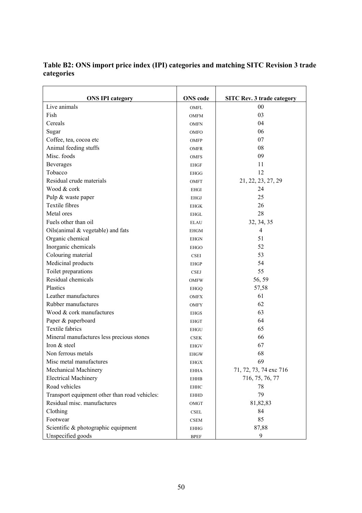| <b>ONS IPI category</b>                                 | <b>ONS</b> code       | <b>SITC Rev. 3 trade category</b> |
|---------------------------------------------------------|-----------------------|-----------------------------------|
| Live animals                                            | OMFL                  | $00\,$                            |
| Fish                                                    | <b>OMFM</b>           | 03                                |
| Cereals                                                 | <b>OMFN</b>           | 04                                |
| Sugar                                                   | <b>OMFO</b>           | 06                                |
| Coffee, tea, cocoa etc                                  | OMFP                  | 07                                |
| Animal feeding stuffs                                   | <b>OMFR</b>           | 08                                |
| Misc. foods                                             | <b>OMFS</b>           | 09                                |
| Beverages                                               | <b>EHGF</b>           | 11                                |
| Tobacco                                                 | <b>EHGG</b>           | 12                                |
| Residual crude materials                                | <b>OMFT</b>           | 21, 22, 23, 27, 29                |
| Wood & cork                                             | <b>EHGI</b>           | 24                                |
| Pulp & waste paper                                      | <b>EHGJ</b>           | 25                                |
| Textile fibres                                          |                       | 26                                |
| Metal ores                                              | EHGK                  | 28                                |
| Fuels other than oil                                    | EHGL                  | 32, 34, 35                        |
|                                                         | <b>ELAU</b>           | $\overline{4}$                    |
| Oils(animal $&$ vegetable) and fats<br>Organic chemical | <b>EHGM</b>           | 51                                |
| Inorganic chemicals                                     | <b>EHGN</b>           | 52                                |
| Colouring material                                      | <b>EHGO</b>           | 53                                |
|                                                         | <b>CSEI</b>           | 54                                |
| Medicinal products<br>Toilet preparations               | <b>EHGP</b>           | 55                                |
| Residual chemicals                                      | <b>CSEJ</b>           |                                   |
| Plastics                                                | <b>OMFW</b>           | 56, 59                            |
|                                                         | <b>EHGQ</b>           | 57,58                             |
| Leather manufactures                                    | <b>OMFX</b>           | 61                                |
| Rubber manufactures                                     | <b>OMFY</b>           | 62                                |
| Wood & cork manufactures                                | <b>EHGS</b>           | 63                                |
| Paper & paperboard                                      | <b>EHGT</b>           | 64                                |
| <b>Textile fabrics</b>                                  | <b>EHGU</b>           | 65                                |
| Mineral manufactures less precious stones               | <b>CSEK</b>           | 66                                |
| Iron & steel                                            | <b>EHGV</b>           | 67                                |
| Non ferrous metals                                      | <b>EHGW</b>           | 68                                |
| Misc metal manufactures                                 | <b>EHGX</b>           | 69                                |
| Mechanical Machinery                                    | <b>EHHA</b>           | 71, 72, 73, 74 exc 716            |
| <b>Electrical Machinery</b>                             | <b>EHHB</b>           | 716, 75, 76, 77                   |
| Road vehicles                                           | <b>EHHC</b>           | 78                                |
| Transport equipment other than road vehicles:           | <b>EHHD</b>           | 79                                |
| Residual misc. manufactures                             | OMGT                  | 81,82,83                          |
| Clothing                                                | $\operatorname{CSEL}$ | 84                                |
| Footwear                                                | <b>CSEM</b>           | 85                                |
| Scientific & photographic equipment                     | <b>EHHG</b>           | 87,88                             |
| Unspecified goods                                       | <b>BPEF</b>           | 9                                 |

**Table B2: ONS import price index (IPI) categories and matching SITC Revision 3 trade categories**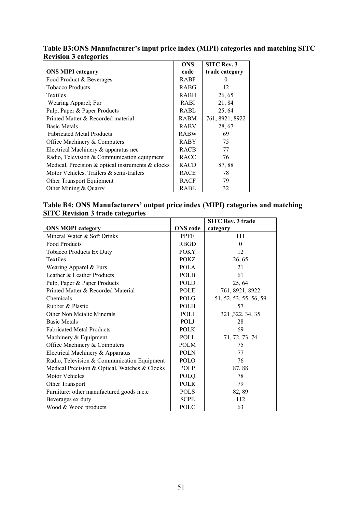|                                                         | <b>ONS</b>  | <b>SITC Rev. 3</b> |
|---------------------------------------------------------|-------------|--------------------|
| <b>ONS MIPI category</b>                                | code        | trade category     |
| Food Product & Beverages                                | <b>RABF</b> | $\Omega$           |
| <b>Tobacco Products</b>                                 | <b>RABG</b> | 12                 |
| Textiles                                                | <b>RABH</b> | 26, 65             |
| Wearing Apparel; Fur                                    | <b>RABI</b> | 21,84              |
| Pulp, Paper & Paper Products                            | RABL        | 25, 64             |
| Printed Matter & Recorded material                      | <b>RABM</b> | 761, 8921, 8922    |
| <b>Basic Metals</b>                                     | <b>RABV</b> | 28, 67             |
| <b>Fabricated Metal Products</b>                        | <b>RABW</b> | 69                 |
| Office Machinery & Computers                            | <b>RABY</b> | 75                 |
| Electrical Machinery & apparatus nec                    | <b>RACB</b> | 77                 |
| Radio, Television & Communication equipment             | <b>RACC</b> | 76                 |
| Medical, Precision $\&$ optical instruments $\&$ clocks | <b>RACD</b> | 87,88              |
| Motor Vehicles, Trailers & semi-trailers                | <b>RACE</b> | 78                 |
| Other Transport Equipment                               | <b>RACF</b> | 79                 |
| Other Mining & Quarry                                   | RABE        | 32                 |

## **Table B3:ONS Manufacturer's input price index (MIPI) categories and matching SITC Revision 3 categories**

## **Table B4: ONS Manufacturers' output price index (MIPI) categories and matching SITC Revision 3 trade categories**

|                                               |                 | <b>SITC Rev. 3 trade</b> |
|-----------------------------------------------|-----------------|--------------------------|
| <b>ONS MOPI category</b>                      | <b>ONS</b> code | category                 |
| Mineral Water & Soft Drinks                   | <b>PPFE</b>     | 111                      |
| Food Products                                 | <b>RBGD</b>     | $\Omega$                 |
| <b>Tobacco Products Ex Duty</b>               | <b>POKY</b>     | 12                       |
| Textiles                                      | POKZ            | 26, 65                   |
| Wearing Apparel & Furs                        | <b>POLA</b>     | 21                       |
| Leather & Leather Products                    | <b>POLB</b>     | 61                       |
| Pulp, Paper & Paper Products                  | POLD            | 25, 64                   |
| Printed Matter & Recorded Material            | POLE            | 761, 8921, 8922          |
| Chemicals                                     | POLG            | 51, 52, 53, 55, 56, 59   |
| Rubber & Plastic                              | <b>POLH</b>     | 57                       |
| Other Non Metalic Minerals                    | <b>POLI</b>     | 321, 322, 34, 35         |
| <b>Basic Metals</b>                           | POLJ            | 28                       |
| <b>Fabricated Metal Products</b>              | <b>POLK</b>     | 69                       |
| Machinery & Equipment                         | POLL            | 71, 72, 73, 74           |
| Office Machinery & Computers                  | <b>POLM</b>     | 75                       |
| Electrical Machinery & Apparatus              | <b>POLN</b>     | 77                       |
| Radio, Television & Communication Equipment   | POLO            | 76                       |
| Medical Precision & Optical, Watches & Clocks | POLP            | 87,88                    |
| <b>Motor Vehicles</b>                         | POLQ            | 78                       |
| Other Transport                               | <b>POLR</b>     | 79                       |
| Furniture: other manufactured goods n.e.c     | <b>POLS</b>     | 82, 89                   |
| Beverages ex duty                             | <b>SCPE</b>     | 112                      |
| Wood & Wood products                          | POLC            | 63                       |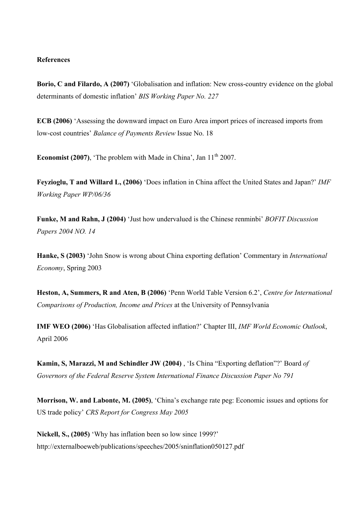#### **References**

**Borio, C and Filardo, A (2007)** 'Globalisation and inflation: New cross-country evidence on the global determinants of domestic inflation' *BIS Working Paper No. 227*

**ECB (2006)** 'Assessing the downward impact on Euro Area import prices of increased imports from low-cost countries' *Balance of Payments Review* Issue No. 18

**Economist (2007)**, 'The problem with Made in China', Jan  $11<sup>th</sup>$  2007.

**Feyzioglu, T and Willard L, (2006)** 'Does inflation in China affect the United States and Japan?' *IMF Working Paper WP/06/36* 

**Funke, M and Rahn, J (2004)** 'Just how undervalued is the Chinese renminbi' *BOFIT Discussion Papers 2004 NO. 14* 

**Hanke, S (2003)** 'John Snow is wrong about China exporting deflation' Commentary in *International Economy*, Spring 2003

**Heston, A, Summers, R and Aten, B (2006)** 'Penn World Table Version 6.2', *Centre for International Comparisons of Production, Income and Prices* at the University of Pennsylvania

**IMF WEO (2006)** 'Has Globalisation affected inflation?' Chapter III, *IMF World Economic Outlook*, April 2006

**Kamin, S, Marazzi, M and Schindler JW (2004)** , 'Is China "Exporting deflation"?' Board *of Governors of the Federal Reserve System International Finance Discussion Paper No 791* 

**Morrison, W. and Labonte, M. (2005)**, 'China's exchange rate peg: Economic issues and options for US trade policy' *CRS Report for Congress May 2005* 

**Nickell, S., (2005)** 'Why has inflation been so low since 1999?' http://externalboeweb/publications/speeches/2005/sninflation050127.pdf